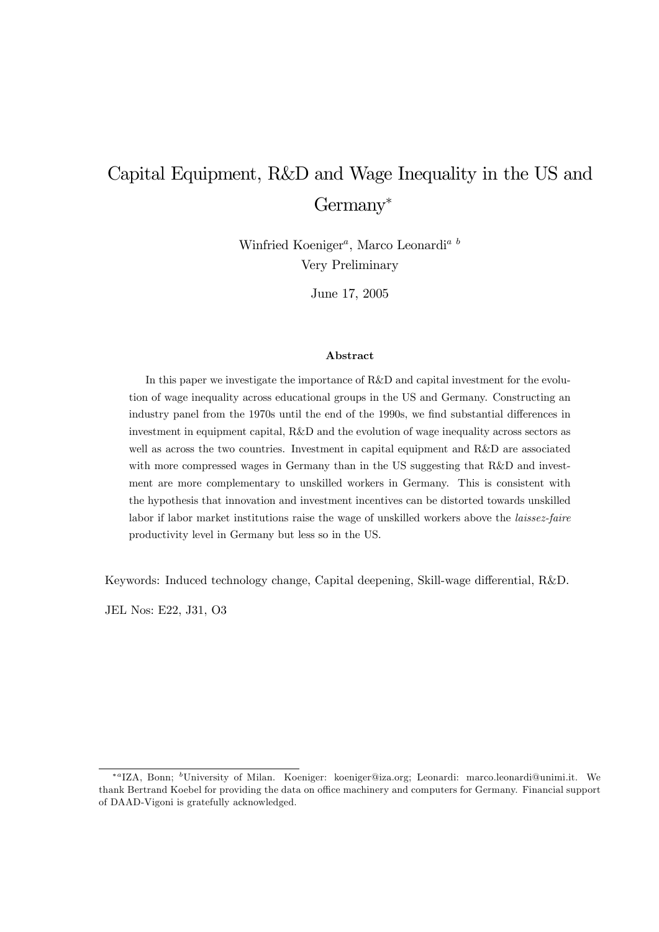# Capital Equipment, R&D and Wage Inequality in the US and Germany

Winfried Koeniger<sup>*a*</sup>, Marco Leonardi<sup>*a*</sup> Very Preliminary

June 17, 2005

#### Abstract

In this paper we investigate the importance of R&D and capital investment for the evolution of wage inequality across educational groups in the US and Germany. Constructing an industry panel from the 1970s until the end of the 1990s, we find substantial differences in investment in equipment capital, R&D and the evolution of wage inequality across sectors as well as across the two countries. Investment in capital equipment and R&D are associated with more compressed wages in Germany than in the US suggesting that R&D and investment are more complementary to unskilled workers in Germany. This is consistent with the hypothesis that innovation and investment incentives can be distorted towards unskilled labor if labor market institutions raise the wage of unskilled workers above the *laissez-faire* productivity level in Germany but less so in the US.

Keywords: Induced technology change, Capital deepening, Skill-wage differential, R&D.

JEL Nos: E22, J31, O3

<sup>\*&</sup>lt;sup>a</sup>IZA, Bonn; <sup>b</sup>University of Milan. Koeniger: koeniger@iza.org; Leonardi: marco.leonardi@unimi.it. We thank Bertrand Koebel for providing the data on office machinery and computers for Germany. Financial support of DAAD-Vigoni is gratefully acknowledged.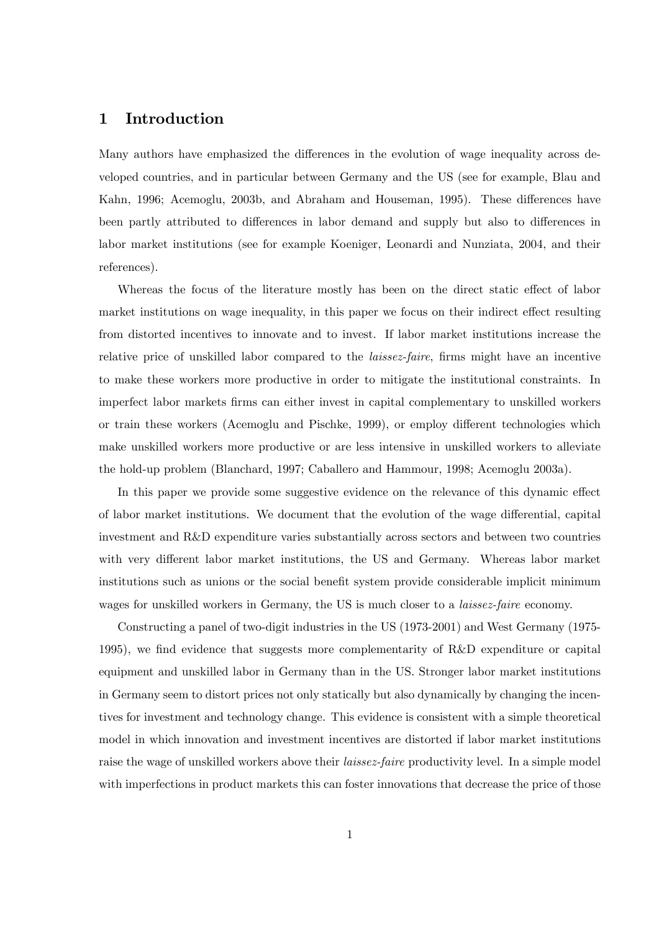### 1 Introduction

Many authors have emphasized the differences in the evolution of wage inequality across developed countries, and in particular between Germany and the US (see for example, Blau and Kahn, 1996; Acemoglu, 2003b, and Abraham and Houseman, 1995). These differences have been partly attributed to differences in labor demand and supply but also to differences in labor market institutions (see for example Koeniger, Leonardi and Nunziata, 2004, and their references).

Whereas the focus of the literature mostly has been on the direct static effect of labor market institutions on wage inequality, in this paper we focus on their indirect effect resulting from distorted incentives to innovate and to invest. If labor market institutions increase the relative price of unskilled labor compared to the *laissez-faire*, firms might have an incentive to make these workers more productive in order to mitigate the institutional constraints. In imperfect labor markets Örms can either invest in capital complementary to unskilled workers or train these workers (Acemoglu and Pischke, 1999), or employ different technologies which make unskilled workers more productive or are less intensive in unskilled workers to alleviate the hold-up problem (Blanchard, 1997; Caballero and Hammour, 1998; Acemoglu 2003a).

In this paper we provide some suggestive evidence on the relevance of this dynamic effect of labor market institutions. We document that the evolution of the wage differential, capital investment and R&D expenditure varies substantially across sectors and between two countries with very different labor market institutions, the US and Germany. Whereas labor market institutions such as unions or the social benefit system provide considerable implicit minimum wages for unskilled workers in Germany, the US is much closer to a *laissez-faire* economy.

Constructing a panel of two-digit industries in the US (1973-2001) and West Germany (1975- 1995), we find evidence that suggests more complementarity of  $R\&D$  expenditure or capital equipment and unskilled labor in Germany than in the US. Stronger labor market institutions in Germany seem to distort prices not only statically but also dynamically by changing the incentives for investment and technology change. This evidence is consistent with a simple theoretical model in which innovation and investment incentives are distorted if labor market institutions raise the wage of unskilled workers above their *laissez-faire* productivity level. In a simple model with imperfections in product markets this can foster innovations that decrease the price of those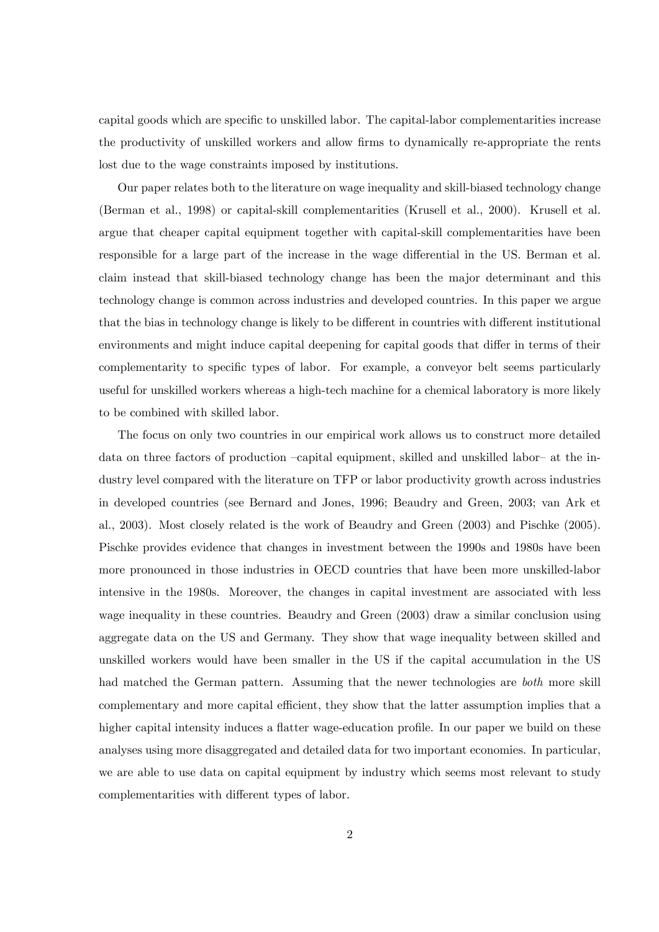capital goods which are specific to unskilled labor. The capital-labor complementarities increase the productivity of unskilled workers and allow firms to dynamically re-appropriate the rents lost due to the wage constraints imposed by institutions.

Our paper relates both to the literature on wage inequality and skill-biased technology change (Berman et al., 1998) or capital-skill complementarities (Krusell et al., 2000). Krusell et al. argue that cheaper capital equipment together with capital-skill complementarities have been responsible for a large part of the increase in the wage differential in the US. Berman et al. claim instead that skill-biased technology change has been the major determinant and this technology change is common across industries and developed countries. In this paper we argue that the bias in technology change is likely to be different in countries with different institutional environments and might induce capital deepening for capital goods that differ in terms of their complementarity to specific types of labor. For example, a conveyor belt seems particularly useful for unskilled workers whereas a high-tech machine for a chemical laboratory is more likely to be combined with skilled labor.

The focus on only two countries in our empirical work allows us to construct more detailed data on three factors of production  $-capital$  equipment, skilled and unskilled labor- at the industry level compared with the literature on TFP or labor productivity growth across industries in developed countries (see Bernard and Jones, 1996; Beaudry and Green, 2003; van Ark et al., 2003). Most closely related is the work of Beaudry and Green (2003) and Pischke (2005). Pischke provides evidence that changes in investment between the 1990s and 1980s have been more pronounced in those industries in OECD countries that have been more unskilled-labor intensive in the 1980s. Moreover, the changes in capital investment are associated with less wage inequality in these countries. Beaudry and Green (2003) draw a similar conclusion using aggregate data on the US and Germany. They show that wage inequality between skilled and unskilled workers would have been smaller in the US if the capital accumulation in the US had matched the German pattern. Assuming that the newer technologies are *both* more skill complementary and more capital efficient, they show that the latter assumption implies that a higher capital intensity induces a flatter wage-education profile. In our paper we build on these analyses using more disaggregated and detailed data for two important economies. In particular, we are able to use data on capital equipment by industry which seems most relevant to study complementarities with different types of labor.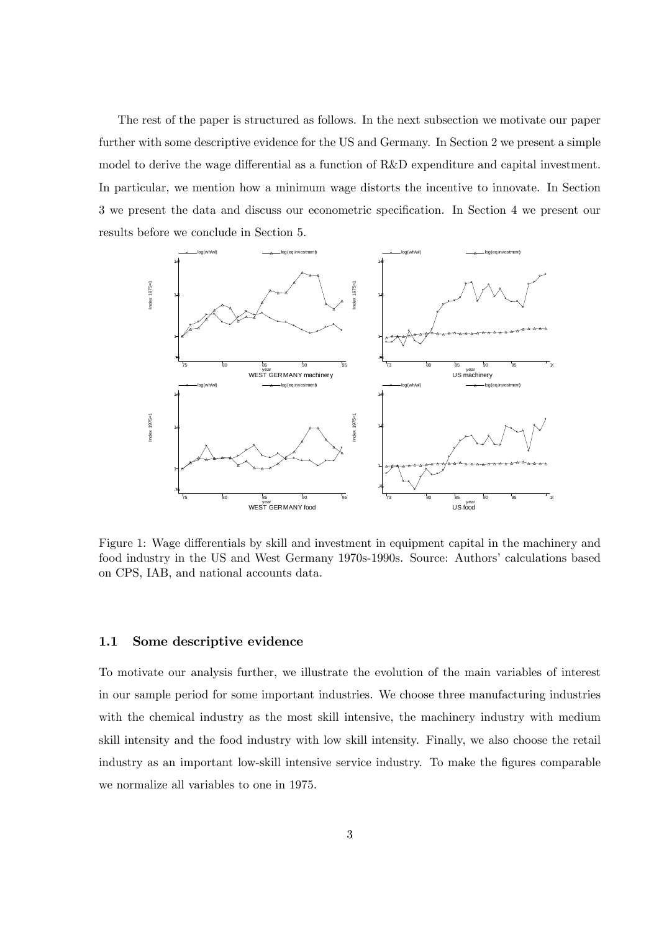The rest of the paper is structured as follows. In the next subsection we motivate our paper further with some descriptive evidence for the US and Germany. In Section 2 we present a simple model to derive the wage differential as a function of  $R\&D$  expenditure and capital investment. In particular, we mention how a minimum wage distorts the incentive to innovate. In Section 3 we present the data and discuss our econometric specification. In Section 4 we present our results before we conclude in Section 5.



Figure 1: Wage differentials by skill and investment in equipment capital in the machinery and food industry in the US and West Germany 1970s-1990s. Source: Authors' calculations based on CPS, IAB, and national accounts data.

#### 1.1 Some descriptive evidence

To motivate our analysis further, we illustrate the evolution of the main variables of interest in our sample period for some important industries. We choose three manufacturing industries with the chemical industry as the most skill intensive, the machinery industry with medium skill intensity and the food industry with low skill intensity. Finally, we also choose the retail industry as an important low-skill intensive service industry. To make the figures comparable we normalize all variables to one in 1975.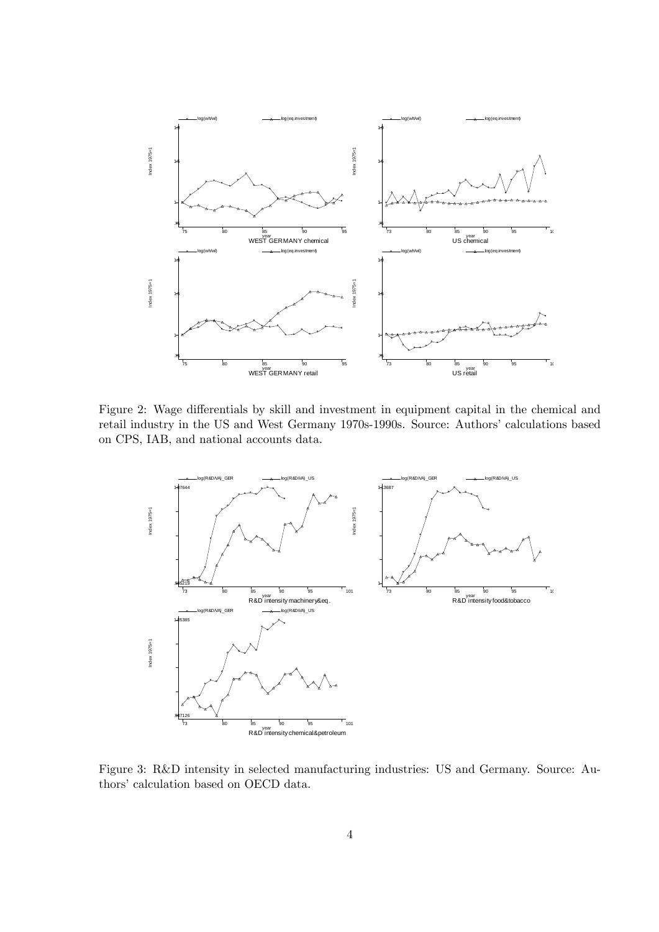

Figure 2: Wage differentials by skill and investment in equipment capital in the chemical and retail industry in the US and West Germany 1970s-1990s. Source: Authors' calculations based on CPS, IAB, and national accounts data.



Figure 3: R&D intensity in selected manufacturing industries: US and Germany. Source: Authors' calculation based on OECD data.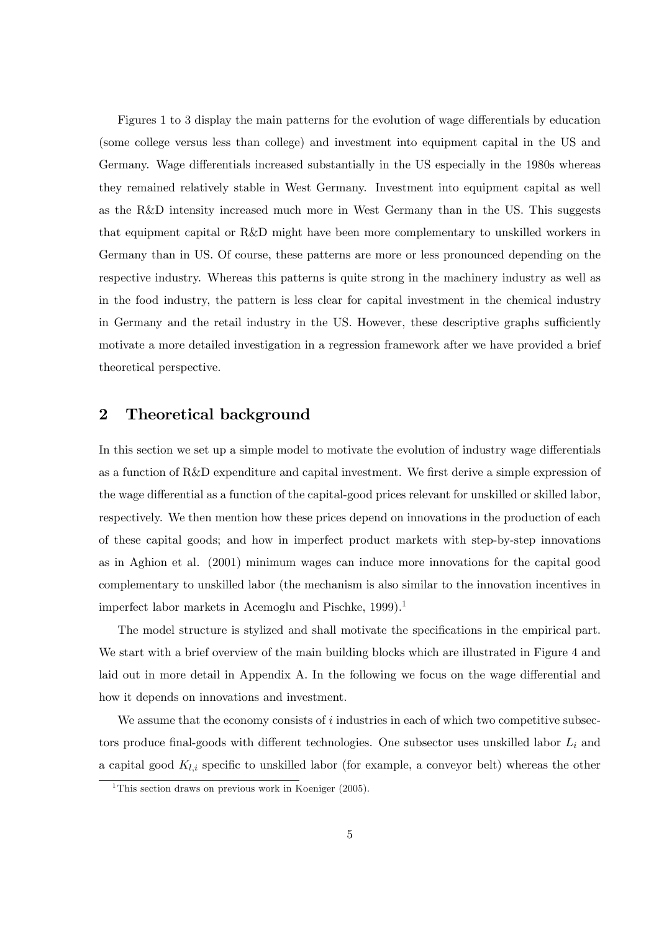Figures 1 to 3 display the main patterns for the evolution of wage differentials by education (some college versus less than college) and investment into equipment capital in the US and Germany. Wage differentials increased substantially in the US especially in the 1980s whereas they remained relatively stable in West Germany. Investment into equipment capital as well as the R&D intensity increased much more in West Germany than in the US. This suggests that equipment capital or R&D might have been more complementary to unskilled workers in Germany than in US. Of course, these patterns are more or less pronounced depending on the respective industry. Whereas this patterns is quite strong in the machinery industry as well as in the food industry, the pattern is less clear for capital investment in the chemical industry in Germany and the retail industry in the US. However, these descriptive graphs sufficiently motivate a more detailed investigation in a regression framework after we have provided a brief theoretical perspective.

### 2 Theoretical background

In this section we set up a simple model to motivate the evolution of industry wage differentials as a function of R&D expenditure and capital investment. We first derive a simple expression of the wage differential as a function of the capital-good prices relevant for unskilled or skilled labor, respectively. We then mention how these prices depend on innovations in the production of each of these capital goods; and how in imperfect product markets with step-by-step innovations as in Aghion et al. (2001) minimum wages can induce more innovations for the capital good complementary to unskilled labor (the mechanism is also similar to the innovation incentives in imperfect labor markets in Acemoglu and Pischke, 1999).<sup>1</sup>

The model structure is stylized and shall motivate the specifications in the empirical part. We start with a brief overview of the main building blocks which are illustrated in Figure 4 and laid out in more detail in Appendix A. In the following we focus on the wage differential and how it depends on innovations and investment.

We assume that the economy consists of  $i$  industries in each of which two competitive subsectors produce final-goods with different technologies. One subsector uses unskilled labor  $L_i$  and a capital good  $K_{l,i}$  specific to unskilled labor (for example, a conveyor belt) whereas the other

<sup>&</sup>lt;sup>1</sup>This section draws on previous work in Koeniger  $(2005)$ .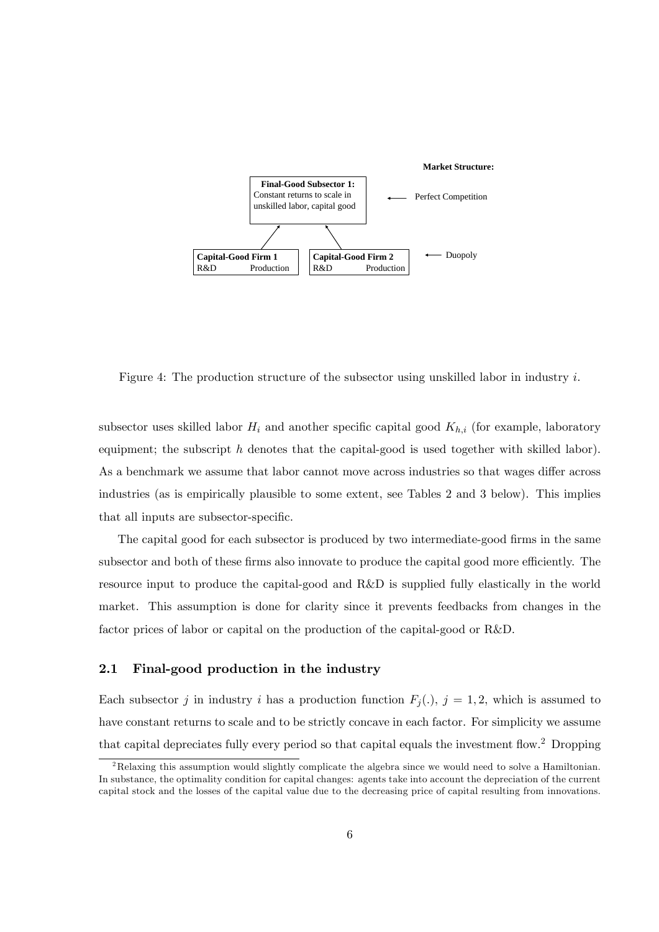

Figure 4: The production structure of the subsector using unskilled labor in industry  $i$ .

subsector uses skilled labor  $H_i$  and another specific capital good  $K_{h,i}$  (for example, laboratory equipment; the subscript  $h$  denotes that the capital-good is used together with skilled labor). As a benchmark we assume that labor cannot move across industries so that wages differ across industries (as is empirically plausible to some extent, see Tables 2 and 3 below). This implies that all inputs are subsector-specific.

The capital good for each subsector is produced by two intermediate-good firms in the same subsector and both of these firms also innovate to produce the capital good more efficiently. The resource input to produce the capital-good and R&D is supplied fully elastically in the world market. This assumption is done for clarity since it prevents feedbacks from changes in the factor prices of labor or capital on the production of the capital-good or R&D.

#### 2.1 Final-good production in the industry

Each subsector j in industry i has a production function  $F_j(.)$ ,  $j = 1, 2$ , which is assumed to have constant returns to scale and to be strictly concave in each factor. For simplicity we assume that capital depreciates fully every period so that capital equals the investment flow.<sup>2</sup> Dropping

<sup>&</sup>lt;sup>2</sup>Relaxing this assumption would slightly complicate the algebra since we would need to solve a Hamiltonian. In substance, the optimality condition for capital changes: agents take into account the depreciation of the current capital stock and the losses of the capital value due to the decreasing price of capital resulting from innovations.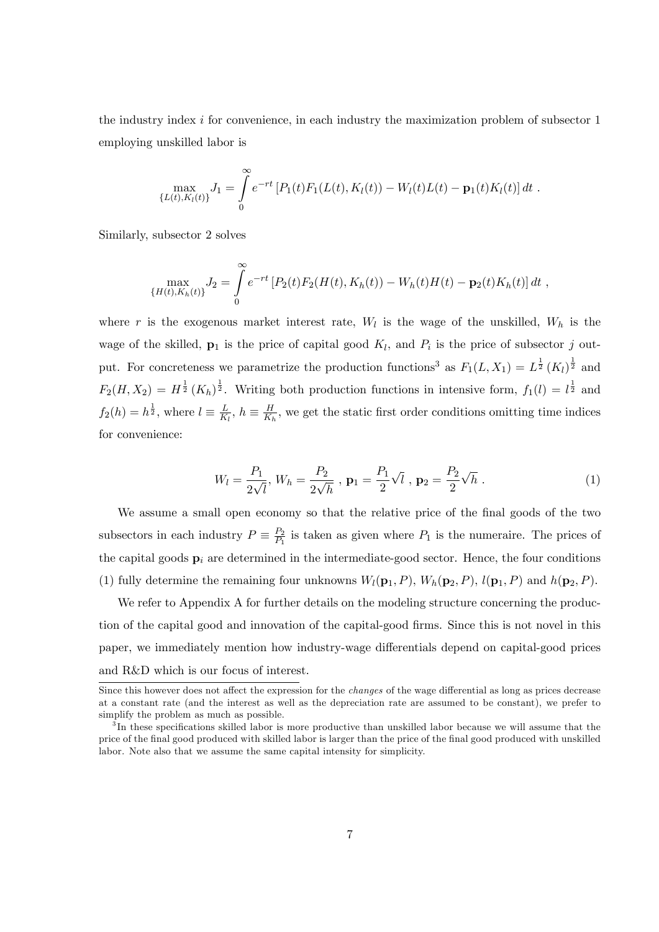the industry index  $i$  for convenience, in each industry the maximization problem of subsector 1 employing unskilled labor is

$$
\max_{\{L(t),K_l(t)\}} J_1 = \int_0^\infty e^{-rt} [P_1(t)F_1(L(t),K_l(t)) - W_l(t)L(t) - \mathbf{p}_1(t)K_l(t)] dt.
$$

Similarly, subsector 2 solves

$$
\max_{\{H(t),K_h(t)\}} J_2 = \int_0^\infty e^{-rt} \left[ P_2(t) F_2(H(t),K_h(t)) - W_h(t) H(t) - \mathbf{p}_2(t) K_h(t) \right] dt,
$$

where r is the exogenous market interest rate,  $W_l$  is the wage of the unskilled,  $W_h$  is the wage of the skilled,  $\mathbf{p}_1$  is the price of capital good  $K_l$ , and  $P_i$  is the price of subsector j output. For concreteness we parametrize the production functions<sup>3</sup> as  $F_1(L, X_1) = L^{\frac{1}{2}} (K_l)^{\frac{1}{2}}$  and  $F_2(H, X_2) = H^{\frac{1}{2}}(K_h)^{\frac{1}{2}}$ . Writing both production functions in intensive form,  $f_1(l) = l^{\frac{1}{2}}$  and  $f_2(h) = h^{\frac{1}{2}}, \text{ where } l \equiv \frac{L}{K}$  $\frac{L}{K_l}, h \equiv \frac{H}{K_l}$  $\frac{H}{K_h}$ , we get the static first order conditions omitting time indices for convenience:

$$
W_l = \frac{P_1}{2\sqrt{l}}, \ W_h = \frac{P_2}{2\sqrt{h}}, \ \mathbf{p}_1 = \frac{P_1}{2}\sqrt{l}, \ \mathbf{p}_2 = \frac{P_2}{2}\sqrt{h} \ . \tag{1}
$$

We assume a small open economy so that the relative price of the final goods of the two subsectors in each industry  $P \equiv \frac{P_2}{P_1}$  $\frac{P_2}{P_1}$  is taken as given where  $P_1$  is the numeraire. The prices of the capital goods  $\mathbf{p}_i$  are determined in the intermediate-good sector. Hence, the four conditions (1) fully determine the remaining four unknowns  $W_l(\mathbf{p}_1, P)$ ,  $W_h(\mathbf{p}_2, P)$ ,  $l(\mathbf{p}_1, P)$  and  $h(\mathbf{p}_2, P)$ .

We refer to Appendix A for further details on the modeling structure concerning the production of the capital good and innovation of the capital-good firms. Since this is not novel in this paper, we immediately mention how industry-wage differentials depend on capital-good prices and R&D which is our focus of interest.

Since this however does not affect the expression for the *changes* of the wage differential as long as prices decrease at a constant rate (and the interest as well as the depreciation rate are assumed to be constant), we prefer to simplify the problem as much as possible.

<sup>&</sup>lt;sup>3</sup>In these specifications skilled labor is more productive than unskilled labor because we will assume that the price of the Önal good produced with skilled labor is larger than the price of the Önal good produced with unskilled labor. Note also that we assume the same capital intensity for simplicity.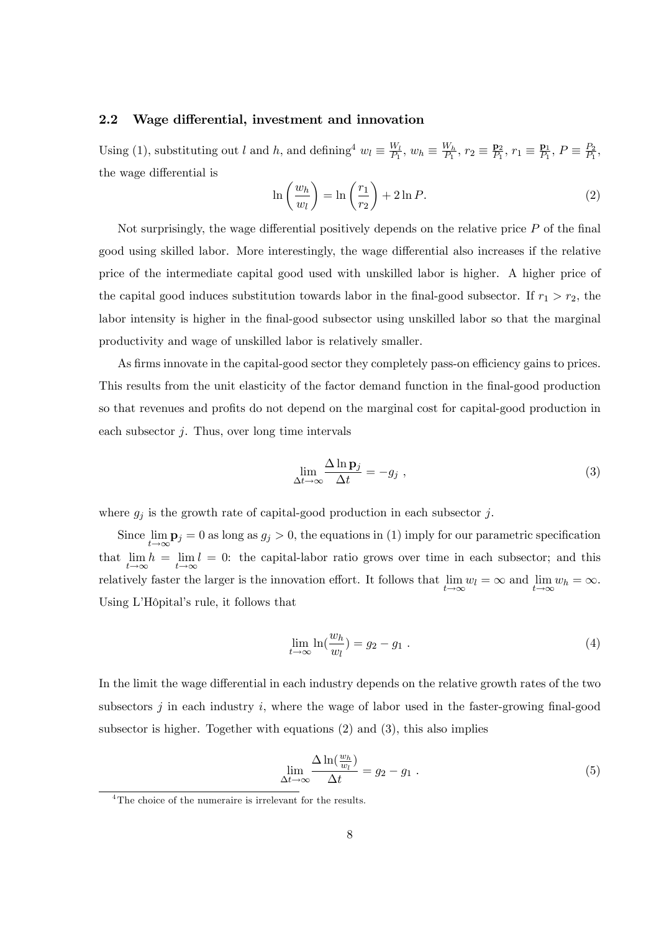#### 2.2 Wage differential, investment and innovation

Using (1), substituting out l and h, and defining  $w_l \equiv \frac{W_l}{P_1}$  $\frac{W_l}{P_1}$ ,  $w_h \equiv \frac{W_h}{P_1}$  $\frac{W_h}{P_1}$ ,  $r_2 \equiv \frac{\mathbf{p}_2}{P_1}$  $\frac{\mathbf{p}_2}{P_1}, r_1 \equiv \frac{\mathbf{p}_1}{P_1}$  $\frac{\mathbf{p}_1}{P_1}, P \equiv \frac{P_2}{P_1}$  $\frac{P_2}{P_1},$ the wage differential is

$$
\ln\left(\frac{w_h}{w_l}\right) = \ln\left(\frac{r_1}{r_2}\right) + 2\ln P. \tag{2}
$$

Not surprisingly, the wage differential positively depends on the relative price  $P$  of the final good using skilled labor. More interestingly, the wage differential also increases if the relative price of the intermediate capital good used with unskilled labor is higher. A higher price of the capital good induces substitution towards labor in the final-good subsector. If  $r_1 > r_2$ , the labor intensity is higher in the final-good subsector using unskilled labor so that the marginal productivity and wage of unskilled labor is relatively smaller.

As firms innovate in the capital-good sector they completely pass-on efficiency gains to prices. This results from the unit elasticity of the factor demand function in the final-good production so that revenues and profits do not depend on the marginal cost for capital-good production in each subsector  $i$ . Thus, over long time intervals

$$
\lim_{\Delta t \to \infty} \frac{\Delta \ln \mathbf{p}_j}{\Delta t} = -g_j \tag{3}
$$

where  $g_j$  is the growth rate of capital-good production in each subsector j.

Since lim  $\lim_{t\to\infty}$ **p**<sub>j</sub> = 0 as long as  $g_j > 0$ , the equations in (1) imply for our parametric specification that lim  $t{\rightarrow}\infty$  $h = \lim$  $t{\rightarrow}\infty$  $l = 0$ : the capital-labor ratio grows over time in each subsector; and this relatively faster the larger is the innovation effort. It follows that lim  $\lim_{t \to \infty} w_l = \infty$  and  $\lim_{t \to \infty} w_h = \infty$ . Using L'Hôpital's rule, it follows that

$$
\lim_{t \to \infty} \ln\left(\frac{w_h}{w_l}\right) = g_2 - g_1 \tag{4}
$$

In the limit the wage differential in each industry depends on the relative growth rates of the two subsectors  $j$  in each industry  $i$ , where the wage of labor used in the faster-growing final-good subsector is higher. Together with equations  $(2)$  and  $(3)$ , this also implies

$$
\lim_{\Delta t \to \infty} \frac{\Delta \ln(\frac{w_h}{w_l})}{\Delta t} = g_2 - g_1 \tag{5}
$$

<sup>&</sup>lt;sup>4</sup>The choice of the numeraire is irrelevant for the results.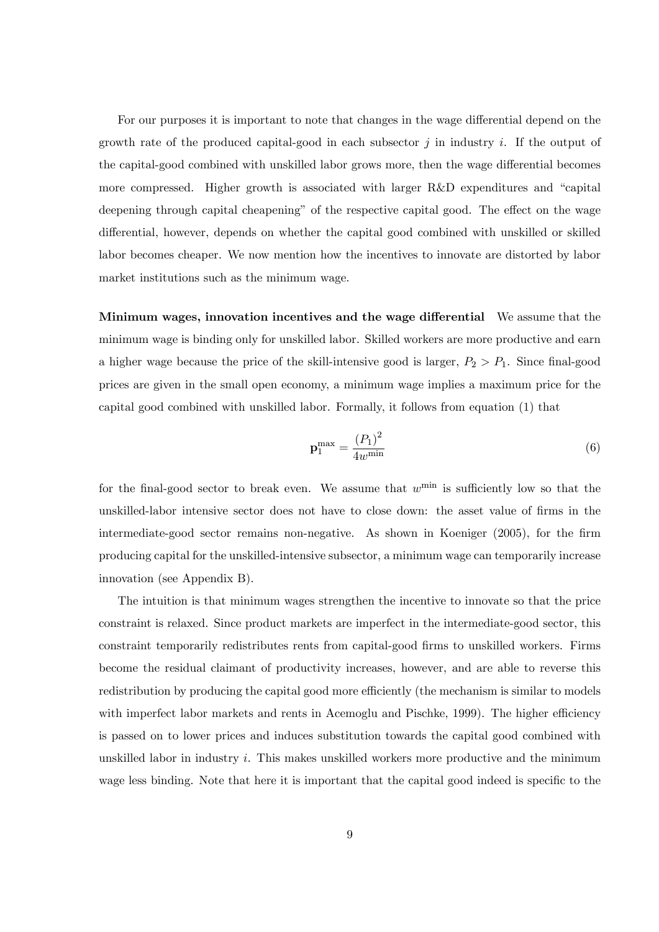For our purposes it is important to note that changes in the wage differential depend on the growth rate of the produced capital-good in each subsector  $j$  in industry i. If the output of the capital-good combined with unskilled labor grows more, then the wage differential becomes more compressed. Higher growth is associated with larger  $R\&D$  expenditures and "capital" deepening through capital cheapening" of the respective capital good. The effect on the wage differential, however, depends on whether the capital good combined with unskilled or skilled labor becomes cheaper. We now mention how the incentives to innovate are distorted by labor market institutions such as the minimum wage.

Minimum wages, innovation incentives and the wage differential We assume that the minimum wage is binding only for unskilled labor. Skilled workers are more productive and earn a higher wage because the price of the skill-intensive good is larger,  $P_2 > P_1$ . Since final-good prices are given in the small open economy, a minimum wage implies a maximum price for the capital good combined with unskilled labor. Formally, it follows from equation (1) that

$$
\mathbf{p}_1^{\max} = \frac{(P_1)^2}{4w^{\min}}\tag{6}
$$

for the final-good sector to break even. We assume that  $w^{\min}$  is sufficiently low so that the unskilled-labor intensive sector does not have to close down: the asset value of firms in the intermediate-good sector remains non-negative. As shown in Koeniger (2005), for the firm producing capital for the unskilled-intensive subsector, a minimum wage can temporarily increase innovation (see Appendix B).

The intuition is that minimum wages strengthen the incentive to innovate so that the price constraint is relaxed. Since product markets are imperfect in the intermediate-good sector, this constraint temporarily redistributes rents from capital-good firms to unskilled workers. Firms become the residual claimant of productivity increases, however, and are able to reverse this redistribution by producing the capital good more efficiently (the mechanism is similar to models with imperfect labor markets and rents in Acemoglu and Pischke, 1999). The higher efficiency is passed on to lower prices and induces substitution towards the capital good combined with unskilled labor in industry  $i$ . This makes unskilled workers more productive and the minimum wage less binding. Note that here it is important that the capital good indeed is specific to the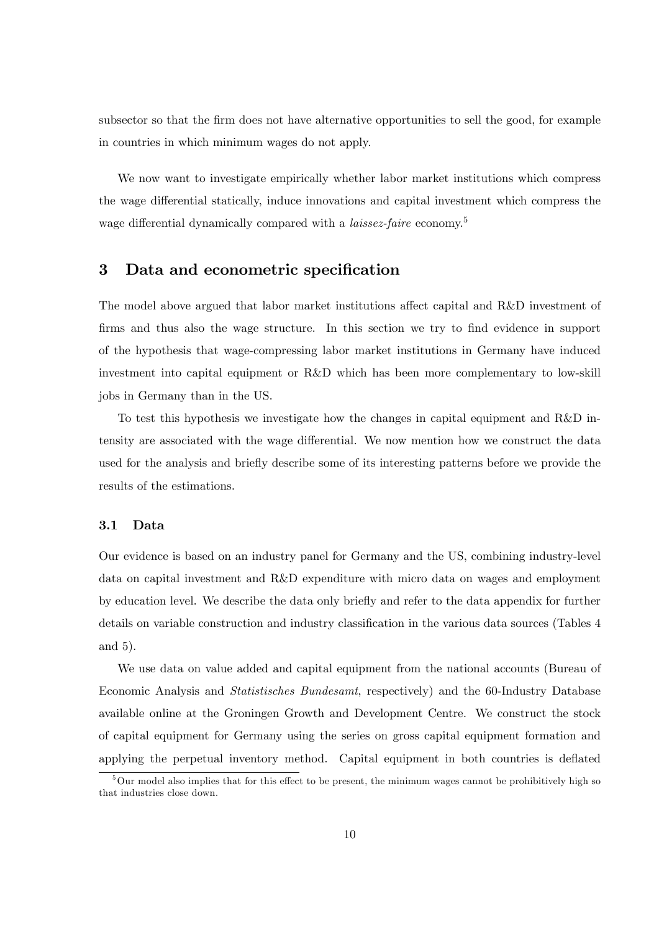subsector so that the firm does not have alternative opportunities to sell the good, for example in countries in which minimum wages do not apply.

We now want to investigate empirically whether labor market institutions which compress the wage differential statically, induce innovations and capital investment which compress the wage differential dynamically compared with a *laissez-faire* economy.<sup>5</sup>

### 3 Data and econometric specification

The model above argued that labor market institutions affect capital and R&D investment of firms and thus also the wage structure. In this section we try to find evidence in support of the hypothesis that wage-compressing labor market institutions in Germany have induced investment into capital equipment or R&D which has been more complementary to low-skill jobs in Germany than in the US.

To test this hypothesis we investigate how the changes in capital equipment and R&D intensity are associated with the wage differential. We now mention how we construct the data used for the analysis and briefly describe some of its interesting patterns before we provide the results of the estimations.

### 3.1 Data

Our evidence is based on an industry panel for Germany and the US, combining industry-level data on capital investment and R&D expenditure with micro data on wages and employment by education level. We describe the data only briefly and refer to the data appendix for further details on variable construction and industry classification in the various data sources (Tables 4 and 5).

We use data on value added and capital equipment from the national accounts (Bureau of Economic Analysis and Statistisches Bundesamt, respectively) and the 60-Industry Database available online at the Groningen Growth and Development Centre. We construct the stock of capital equipment for Germany using the series on gross capital equipment formation and applying the perpetual inventory method. Capital equipment in both countries is deflated

 $5$ Our model also implies that for this effect to be present, the minimum wages cannot be prohibitively high so that industries close down.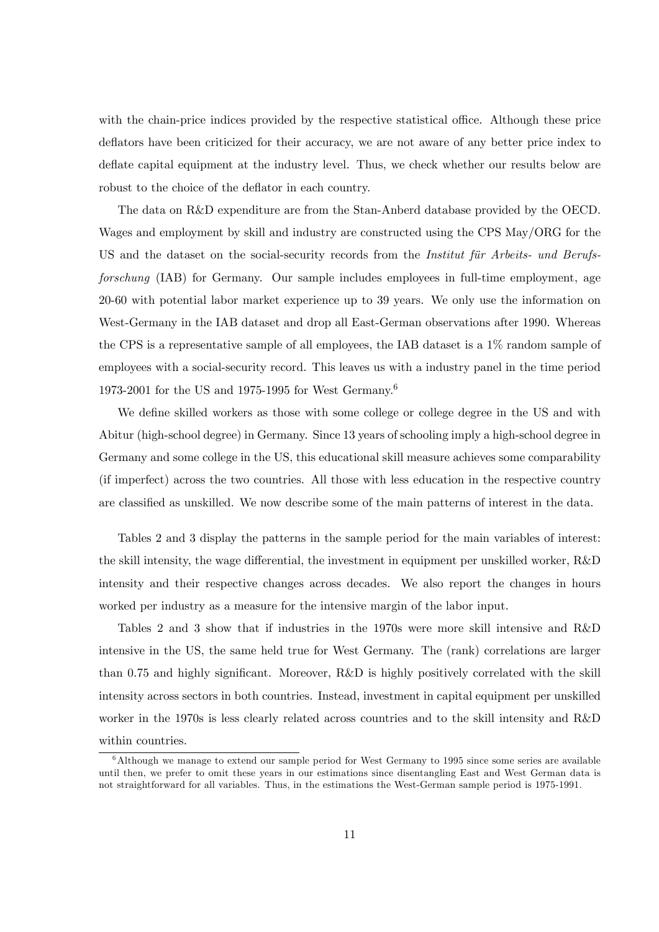with the chain-price indices provided by the respective statistical office. Although these price deflators have been criticized for their accuracy, we are not aware of any better price index to deflate capital equipment at the industry level. Thus, we check whether our results below are robust to the choice of the deflator in each country.

The data on R&D expenditure are from the Stan-Anberd database provided by the OECD. Wages and employment by skill and industry are constructed using the CPS May/ORG for the US and the dataset on the social-security records from the *Institut für Arbeits- und Berufs*forschung (IAB) for Germany. Our sample includes employees in full-time employment, age 20-60 with potential labor market experience up to 39 years. We only use the information on West-Germany in the IAB dataset and drop all East-German observations after 1990. Whereas the CPS is a representative sample of all employees, the IAB dataset is a 1% random sample of employees with a social-security record. This leaves us with a industry panel in the time period 1973-2001 for the US and 1975-1995 for West Germany.<sup>6</sup>

We define skilled workers as those with some college or college degree in the US and with Abitur (high-school degree) in Germany. Since 13 years of schooling imply a high-school degree in Germany and some college in the US, this educational skill measure achieves some comparability (if imperfect) across the two countries. All those with less education in the respective country are classified as unskilled. We now describe some of the main patterns of interest in the data.

Tables 2 and 3 display the patterns in the sample period for the main variables of interest: the skill intensity, the wage differential, the investment in equipment per unskilled worker,  $R\&D$ intensity and their respective changes across decades. We also report the changes in hours worked per industry as a measure for the intensive margin of the labor input.

Tables 2 and 3 show that if industries in the 1970s were more skill intensive and R&D intensive in the US, the same held true for West Germany. The (rank) correlations are larger than 0.75 and highly significant. Moreover,  $R\&D$  is highly positively correlated with the skill intensity across sectors in both countries. Instead, investment in capital equipment per unskilled worker in the 1970s is less clearly related across countries and to the skill intensity and R&D within countries.

 $6$ Although we manage to extend our sample period for West Germany to 1995 since some series are available until then, we prefer to omit these years in our estimations since disentangling East and West German data is not straightforward for all variables. Thus, in the estimations the West-German sample period is 1975-1991.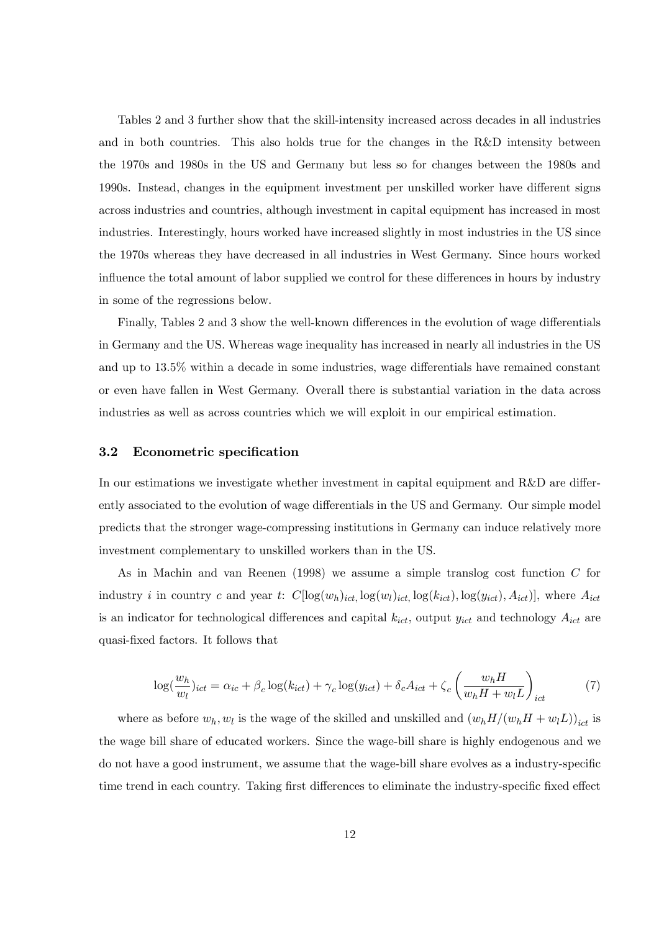Tables 2 and 3 further show that the skill-intensity increased across decades in all industries and in both countries. This also holds true for the changes in the R&D intensity between the 1970s and 1980s in the US and Germany but less so for changes between the 1980s and 1990s. Instead, changes in the equipment investment per unskilled worker have different signs across industries and countries, although investment in capital equipment has increased in most industries. Interestingly, hours worked have increased slightly in most industries in the US since the 1970s whereas they have decreased in all industries in West Germany. Since hours worked influence the total amount of labor supplied we control for these differences in hours by industry in some of the regressions below.

Finally, Tables 2 and 3 show the well-known differences in the evolution of wage differentials in Germany and the US. Whereas wage inequality has increased in nearly all industries in the US and up to  $13.5\%$  within a decade in some industries, wage differentials have remained constant or even have fallen in West Germany. Overall there is substantial variation in the data across industries as well as across countries which we will exploit in our empirical estimation.

#### 3.2 Econometric specification

In our estimations we investigate whether investment in capital equipment and  $R\&D$  are differently associated to the evolution of wage differentials in the US and Germany. Our simple model predicts that the stronger wage-compressing institutions in Germany can induce relatively more investment complementary to unskilled workers than in the US.

As in Machin and van Reenen (1998) we assume a simple translog cost function C for industry i in country c and year t:  $C[\log(w_h)_{ict,} \log(w_l)_{ict,} \log(k_{ict}), \log(y_{ict}), A_{ict})]$ , where  $A_{ict}$ is an indicator for technological differences and capital  $k_{ict}$ , output  $y_{ict}$  and technology  $A_{ict}$  are quasi-Öxed factors. It follows that

$$
\log(\frac{w_h}{w_l})_{ict} = \alpha_{ic} + \beta_c \log(k_{ict}) + \gamma_c \log(y_{ict}) + \delta_c A_{ict} + \zeta_c \left(\frac{w_h H}{w_h H + w_l L}\right)_{ict}
$$
 (7)

where as before  $w_h, w_l$  is the wage of the skilled and unskilled and  $(w_h H/(w_h H + w_l L))_{ict}$  is the wage bill share of educated workers. Since the wage-bill share is highly endogenous and we do not have a good instrument, we assume that the wage-bill share evolves as a industry-specific time trend in each country. Taking first differences to eliminate the industry-specific fixed effect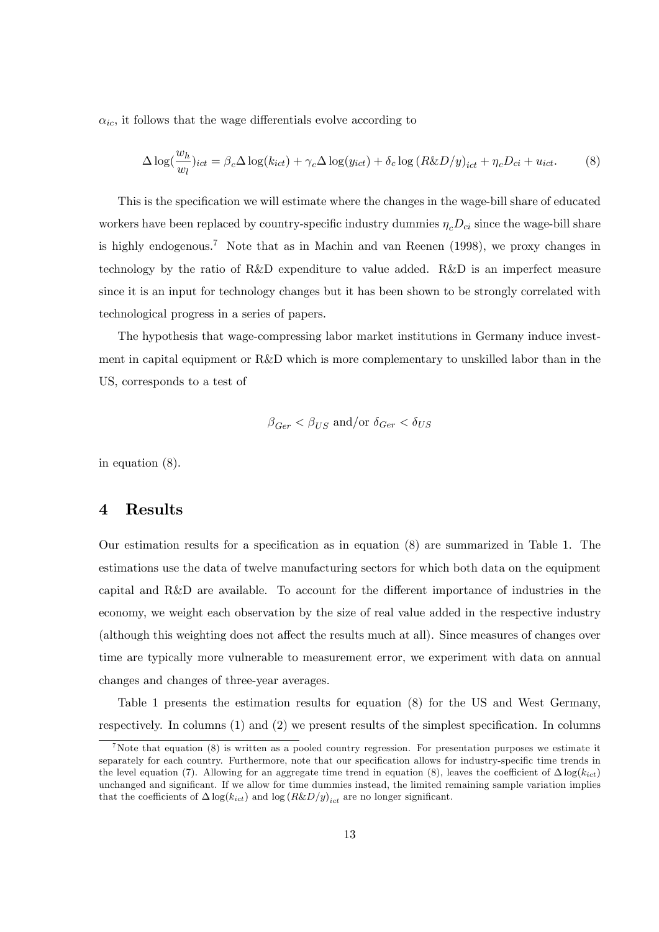$\alpha_{ic}$ , it follows that the wage differentials evolve according to

$$
\Delta \log(\frac{w_h}{w_l})_{ict} = \beta_c \Delta \log(k_{ict}) + \gamma_c \Delta \log(y_{ict}) + \delta_c \log(R \& D/y)_{ict} + \eta_c D_{ci} + u_{ict}.
$$
 (8)

This is the specification we will estimate where the changes in the wage-bill share of educated workers have been replaced by country-specific industry dummies  $\eta_c D_{ci}$  since the wage-bill share is highly endogenous.<sup>7</sup> Note that as in Machin and van Reenen  $(1998)$ , we proxy changes in technology by the ratio of R&D expenditure to value added. R&D is an imperfect measure since it is an input for technology changes but it has been shown to be strongly correlated with technological progress in a series of papers.

The hypothesis that wage-compressing labor market institutions in Germany induce investment in capital equipment or R&D which is more complementary to unskilled labor than in the US, corresponds to a test of

$$
\beta_{Ger} < \beta_{US}
$$
 and/or  $\delta_{Ger} < \delta_{US}$ 

in equation (8).

### 4 Results

Our estimation results for a specification as in equation  $(8)$  are summarized in Table 1. The estimations use the data of twelve manufacturing sectors for which both data on the equipment capital and R&D are available. To account for the different importance of industries in the economy, we weight each observation by the size of real value added in the respective industry (although this weighting does not affect the results much at all). Since measures of changes over time are typically more vulnerable to measurement error, we experiment with data on annual changes and changes of three-year averages.

Table 1 presents the estimation results for equation (8) for the US and West Germany, respectively. In columns  $(1)$  and  $(2)$  we present results of the simplest specification. In columns

<sup>&</sup>lt;sup>7</sup>Note that equation (8) is written as a pooled country regression. For presentation purposes we estimate it separately for each country. Furthermore, note that our specification allows for industry-specific time trends in the level equation (7). Allowing for an aggregate time trend in equation (8), leaves the coefficient of  $\Delta \log(k_{ict})$ unchanged and significant. If we allow for time dummies instead, the limited remaining sample variation implies that the coefficients of  $\Delta \log(k_{ict})$  and  $\log (R\&D/y)_{ict}$  are no longer significant.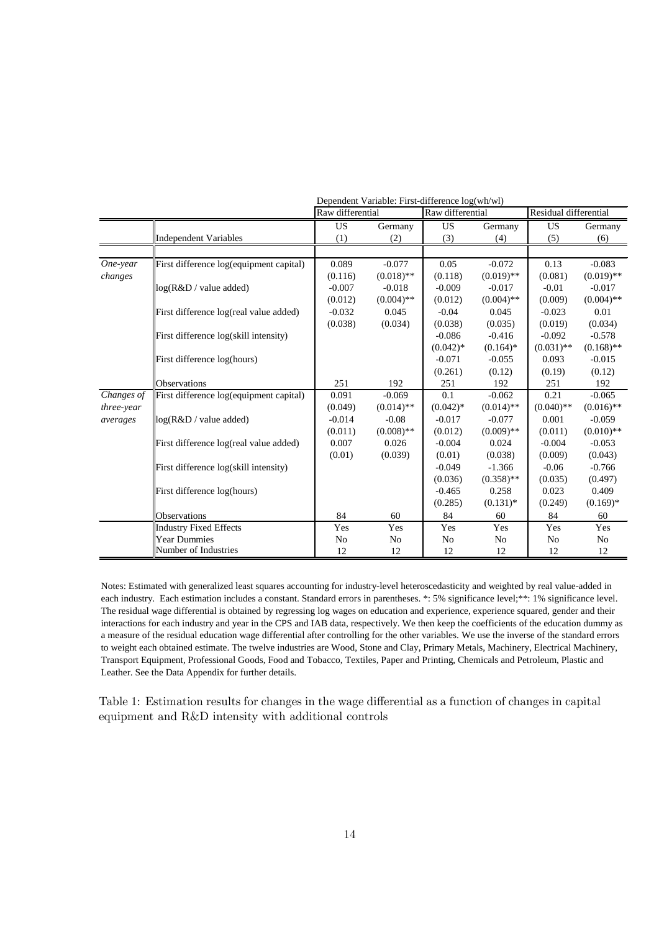|            |                                         | Dependent Variable: First-difference log(wh/wl) |              |                  |              |                       |              |  |  |
|------------|-----------------------------------------|-------------------------------------------------|--------------|------------------|--------------|-----------------------|--------------|--|--|
|            |                                         | Raw differential                                |              | Raw differential |              | Residual differential |              |  |  |
|            |                                         | <b>US</b>                                       | Germany      | <b>US</b>        | Germany      | <b>US</b>             | Germany      |  |  |
|            | <b>Independent Variables</b>            | (1)                                             | (2)          | (3)              | (4)          | (5)                   | (6)          |  |  |
|            |                                         |                                                 |              |                  |              |                       |              |  |  |
| One-year   | First difference log(equipment capital) | 0.089                                           | $-0.077$     | 0.05             | $-0.072$     | 0.13                  | $-0.083$     |  |  |
| changes    |                                         | (0.116)                                         | $(0.018)$ ** | (0.118)          | $(0.019)$ ** | (0.081)               | $(0.019)$ ** |  |  |
|            | $log(R&D/value$ added)                  | $-0.007$                                        | $-0.018$     | $-0.009$         | $-0.017$     | $-0.01$               | $-0.017$     |  |  |
|            |                                         | (0.012)                                         | $(0.004)$ ** | (0.012)          | $(0.004)$ ** | (0.009)               | $(0.004)$ ** |  |  |
|            | First difference log(real value added)  | $-0.032$                                        | 0.045        | $-0.04$          | 0.045        | $-0.023$              | 0.01         |  |  |
|            |                                         | (0.038)                                         | (0.034)      | (0.038)          | (0.035)      | (0.019)               | (0.034)      |  |  |
|            | First difference log(skill intensity)   |                                                 |              | $-0.086$         | $-0.416$     | $-0.092$              | $-0.578$     |  |  |
|            |                                         |                                                 |              | $(0.042)$ *      | $(0.164)$ *  | $(0.031)$ **          | $(0.168)$ ** |  |  |
|            | First difference log(hours)             |                                                 |              | $-0.071$         | $-0.055$     | 0.093                 | $-0.015$     |  |  |
|            |                                         |                                                 |              | (0.261)          | (0.12)       | (0.19)                | (0.12)       |  |  |
|            | <b>Observations</b>                     | 251                                             | 192          | 251              | 192          | 251                   | 192          |  |  |
| Changes of | First difference log(equipment capital) | 0.091                                           | $-0.069$     | 0.1              | $-0.062$     | 0.21                  | $-0.065$     |  |  |
| three-year |                                         | (0.049)                                         | $(0.014)$ ** | $(0.042)$ *      | $(0.014)$ ** | $(0.040)$ **          | $(0.016)$ ** |  |  |
| averages   | log(R&D / value added)                  | $-0.014$                                        | $-0.08$      | $-0.017$         | $-0.077$     | 0.001                 | $-0.059$     |  |  |
|            |                                         | (0.011)                                         | $(0.008)$ ** | (0.012)          | $(0.009)$ ** | (0.011)               | $(0.010)$ ** |  |  |
|            | First difference log(real value added)  | 0.007                                           | 0.026        | $-0.004$         | 0.024        | $-0.004$              | $-0.053$     |  |  |
|            |                                         | (0.01)                                          | (0.039)      | (0.01)           | (0.038)      | (0.009)               | (0.043)      |  |  |
|            | First difference log(skill intensity)   |                                                 |              | $-0.049$         | $-1.366$     | $-0.06$               | $-0.766$     |  |  |
|            |                                         |                                                 |              | (0.036)          | $(0.358)$ ** | (0.035)               | (0.497)      |  |  |
|            | First difference log(hours)             |                                                 |              | $-0.465$         | 0.258        | 0.023                 | 0.409        |  |  |
|            |                                         |                                                 |              | (0.285)          | $(0.131)*$   | (0.249)               | $(0.169)*$   |  |  |
|            | Observations                            | 84                                              | 60           | 84               | 60           | 84                    | 60           |  |  |
|            | <b>Industry Fixed Effects</b>           | Yes                                             | Yes          | Yes              | Yes          | Yes                   | Yes          |  |  |
|            | <b>Year Dummies</b>                     | No                                              | No           | No               | No           | No                    | No           |  |  |
|            | Number of Industries                    | 12                                              | 12           | 12               | 12           | 12                    | 12           |  |  |

Notes: Estimated with generalized least squares accounting for industry-level heteroscedasticity and weighted by real value-added in each industry. Each estimation includes a constant. Standard errors in parentheses. \*: 5% significance level; \*\*: 1% significance level. The residual wage differential is obtained by regressing log wages on education and experience, experience squared, gender and their interactions for each industry and year in the CPS and IAB data, respectively. We then keep the coefficients of the education dummy as a measure of the residual education wage differential after controlling for the other variables. We use the inverse of the standard errors to weight each obtained estimate. The twelve industries are Wood, Stone and Clay, Primary Metals, Machinery, Electrical Machinery, Transport Equipment, Professional Goods, Food and Tobacco, Textiles, Paper and Printing, Chemicals and Petroleum, Plastic and Leather. See the Data Appendix for further details.

Table 1: Estimation results for changes in the wage differential as a function of changes in capital equipment and R&D intensity with additional controls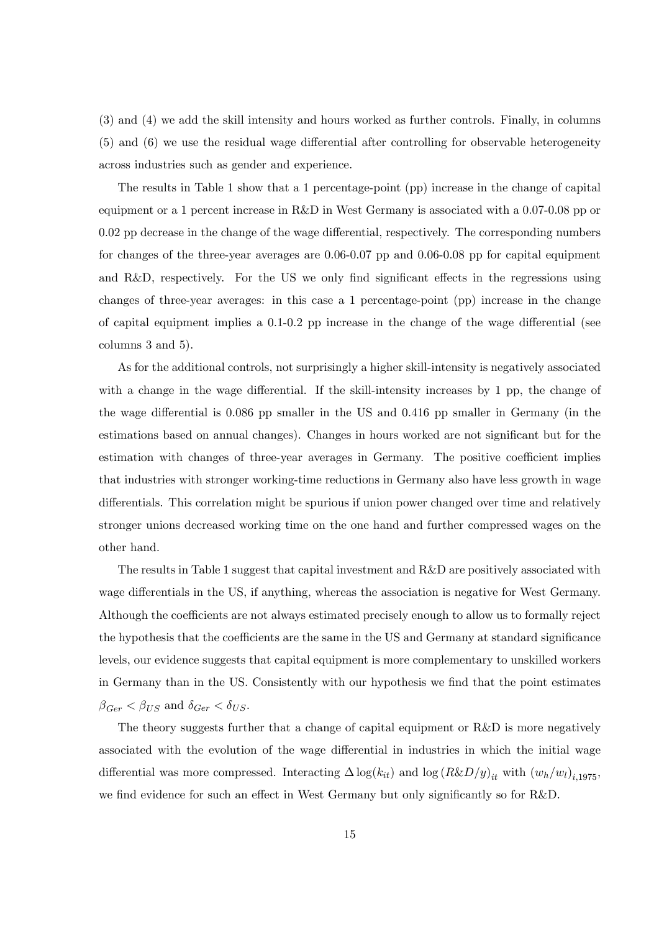(3) and (4) we add the skill intensity and hours worked as further controls. Finally, in columns  $(5)$  and  $(6)$  we use the residual wage differential after controlling for observable heterogeneity across industries such as gender and experience.

The results in Table 1 show that a 1 percentage-point (pp) increase in the change of capital equipment or a 1 percent increase in R&D in West Germany is associated with a 0.07-0.08 pp or  $0.02$  pp decrease in the change of the wage differential, respectively. The corresponding numbers for changes of the three-year averages are 0.06-0.07 pp and 0.06-0.08 pp for capital equipment and R&D, respectively. For the US we only find significant effects in the regressions using changes of three-year averages: in this case a 1 percentage-point (pp) increase in the change of capital equipment implies a  $0.1$ - $0.2$  pp increase in the change of the wage differential (see columns 3 and 5).

As for the additional controls, not surprisingly a higher skill-intensity is negatively associated with a change in the wage differential. If the skill-intensity increases by 1 pp, the change of the wage differential is  $0.086$  pp smaller in the US and  $0.416$  pp smaller in Germany (in the estimations based on annual changes). Changes in hours worked are not significant but for the estimation with changes of three-year averages in Germany. The positive coefficient implies that industries with stronger working-time reductions in Germany also have less growth in wage differentials. This correlation might be spurious if union power changed over time and relatively stronger unions decreased working time on the one hand and further compressed wages on the other hand.

The results in Table 1 suggest that capital investment and R&D are positively associated with wage differentials in the US, if anything, whereas the association is negative for West Germany. Although the coefficients are not always estimated precisely enough to allow us to formally reject the hypothesis that the coefficients are the same in the US and Germany at standard significance levels, our evidence suggests that capital equipment is more complementary to unskilled workers in Germany than in the US. Consistently with our hypothesis we find that the point estimates  $\beta_{Ger} < \beta_{US}$  and  $\delta_{Ger} < \delta_{US}.$ 

The theory suggests further that a change of capital equipment or  $R&D$  is more negatively associated with the evolution of the wage differential in industries in which the initial wage differential was more compressed. Interacting  $\Delta \log(k_{it})$  and  $\log (R\&D/y)_{it}$  with  $(w_h/w_l)_{i,1975}$ , we find evidence for such an effect in West Germany but only significantly so for R&D.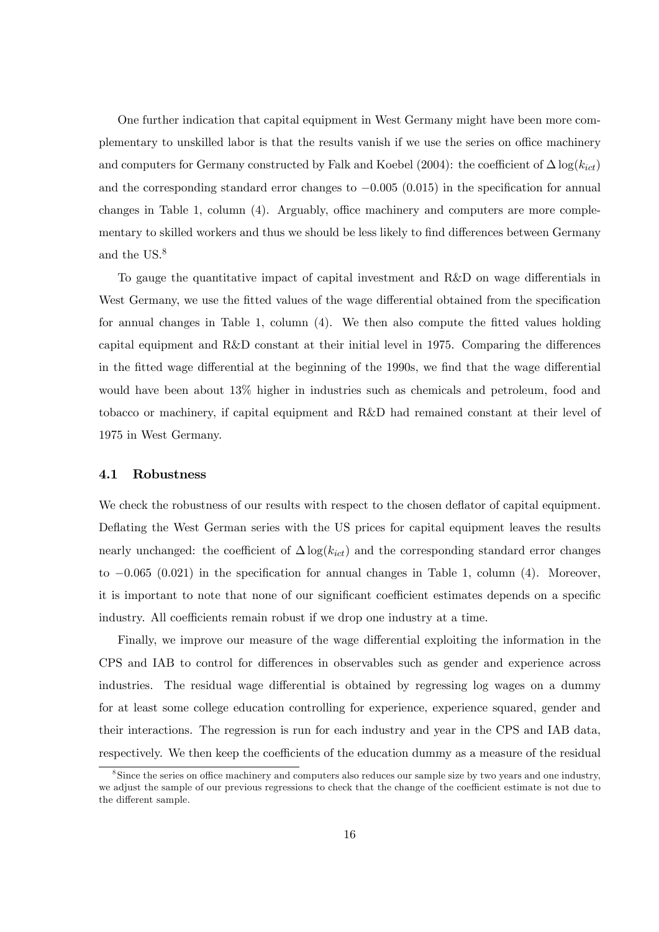One further indication that capital equipment in West Germany might have been more complementary to unskilled labor is that the results vanish if we use the series on office machinery and computers for Germany constructed by Falk and Koebel (2004): the coefficient of  $\Delta \log(k_{ict})$ and the corresponding standard error changes to  $-0.005$  (0.015) in the specification for annual changes in Table 1, column  $(4)$ . Arguably, office machinery and computers are more complementary to skilled workers and thus we should be less likely to find differences between Germany and the US.<sup>8</sup>

To gauge the quantitative impact of capital investment and  $R&D$  on wage differentials in West Germany, we use the fitted values of the wage differential obtained from the specification for annual changes in Table 1, column  $(4)$ . We then also compute the fitted values holding capital equipment and  $R&D$  constant at their initial level in 1975. Comparing the differences in the fitted wage differential at the beginning of the 1990s, we find that the wage differential would have been about 13% higher in industries such as chemicals and petroleum, food and tobacco or machinery, if capital equipment and R&D had remained constant at their level of 1975 in West Germany.

#### 4.1 Robustness

We check the robustness of our results with respect to the chosen deflator of capital equipment. Deflating the West German series with the US prices for capital equipment leaves the results nearly unchanged: the coefficient of  $\Delta \log(k_{ict})$  and the corresponding standard error changes to  $-0.065$  (0.021) in the specification for annual changes in Table 1, column (4). Moreover, it is important to note that none of our significant coefficient estimates depends on a specific industry. All coefficients remain robust if we drop one industry at a time.

Finally, we improve our measure of the wage differential exploiting the information in the CPS and IAB to control for differences in observables such as gender and experience across industries. The residual wage differential is obtained by regressing log wages on a dummy for at least some college education controlling for experience, experience squared, gender and their interactions. The regression is run for each industry and year in the CPS and IAB data, respectively. We then keep the coefficients of the education dummy as a measure of the residual

<sup>&</sup>lt;sup>8</sup> Since the series on office machinery and computers also reduces our sample size by two years and one industry, we adjust the sample of our previous regressions to check that the change of the coefficient estimate is not due to the different sample.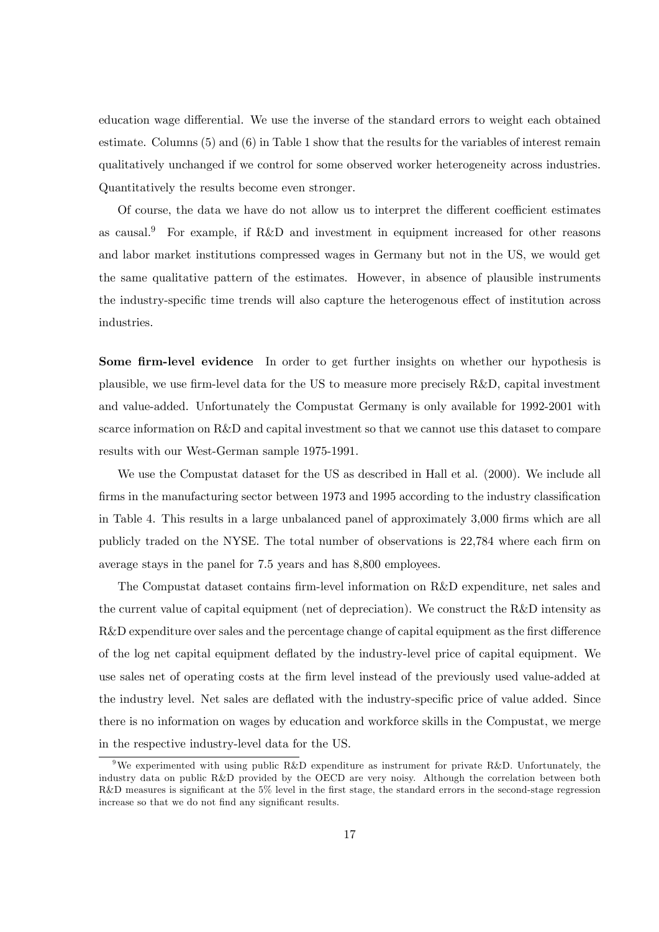education wage differential. We use the inverse of the standard errors to weight each obtained estimate. Columns (5) and (6) in Table 1 show that the results for the variables of interest remain qualitatively unchanged if we control for some observed worker heterogeneity across industries. Quantitatively the results become even stronger.

Of course, the data we have do not allow us to interpret the different coefficient estimates as causal.<sup>9</sup> For example, if R&D and investment in equipment increased for other reasons and labor market institutions compressed wages in Germany but not in the US, we would get the same qualitative pattern of the estimates. However, in absence of plausible instruments the industry-specific time trends will also capture the heterogenous effect of institution across industries.

Some firm-level evidence In order to get further insights on whether our hypothesis is plausible, we use firm-level data for the US to measure more precisely  $R&D$ , capital investment and value-added. Unfortunately the Compustat Germany is only available for 1992-2001 with scarce information on R&D and capital investment so that we cannot use this dataset to compare results with our West-German sample 1975-1991.

We use the Compustat dataset for the US as described in Hall et al. (2000). We include all firms in the manufacturing sector between 1973 and 1995 according to the industry classification in Table 4. This results in a large unbalanced panel of approximately 3,000 firms which are all publicly traded on the NYSE. The total number of observations is 22,784 where each firm on average stays in the panel for 7.5 years and has 8,800 employees.

The Compustat dataset contains firm-level information on R&D expenditure, net sales and the current value of capital equipment (net of depreciation). We construct the R&D intensity as  $R&D$  expenditure over sales and the percentage change of capital equipment as the first difference of the log net capital equipment deáated by the industry-level price of capital equipment. We use sales net of operating costs at the firm level instead of the previously used value-added at the industry level. Net sales are deflated with the industry-specific price of value added. Since there is no information on wages by education and workforce skills in the Compustat, we merge in the respective industry-level data for the US.

<sup>&</sup>lt;sup>9</sup>We experimented with using public R&D expenditure as instrument for private R&D. Unfortunately, the industry data on public R&D provided by the OECD are very noisy. Although the correlation between both R&D measures is significant at the 5% level in the first stage, the standard errors in the second-stage regression increase so that we do not find any significant results.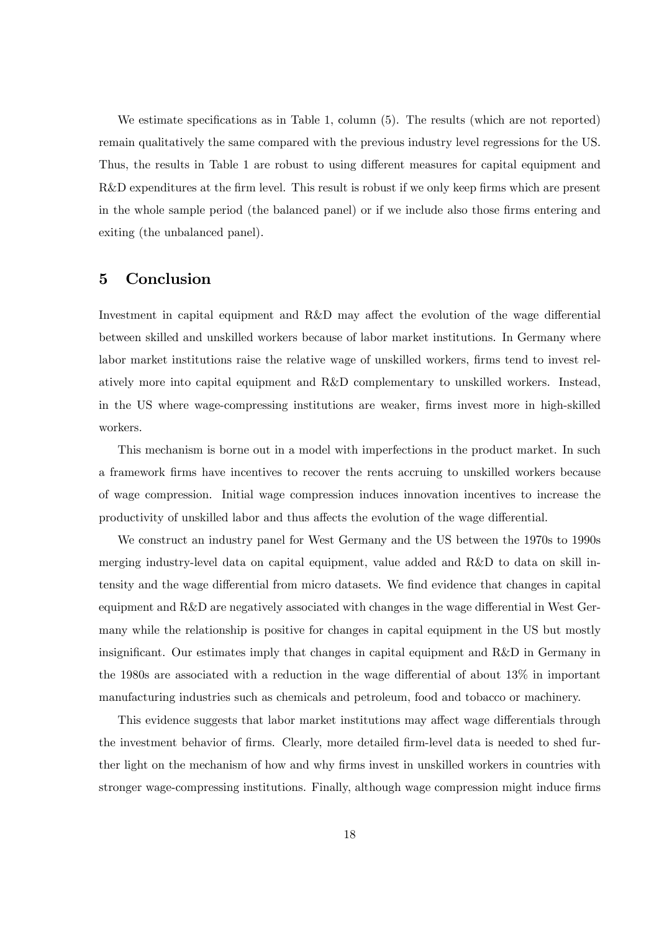We estimate specifications as in Table 1, column  $(5)$ . The results (which are not reported) remain qualitatively the same compared with the previous industry level regressions for the US. Thus, the results in Table 1 are robust to using different measures for capital equipment and  $R&D$  expenditures at the firm level. This result is robust if we only keep firms which are present in the whole sample period (the balanced panel) or if we include also those firms entering and exiting (the unbalanced panel).

### 5 Conclusion

Investment in capital equipment and  $R\&D$  may affect the evolution of the wage differential between skilled and unskilled workers because of labor market institutions. In Germany where labor market institutions raise the relative wage of unskilled workers, firms tend to invest relatively more into capital equipment and R&D complementary to unskilled workers. Instead, in the US where wage-compressing institutions are weaker, Örms invest more in high-skilled workers.

This mechanism is borne out in a model with imperfections in the product market. In such a framework Örms have incentives to recover the rents accruing to unskilled workers because of wage compression. Initial wage compression induces innovation incentives to increase the productivity of unskilled labor and thus affects the evolution of the wage differential.

We construct an industry panel for West Germany and the US between the 1970s to 1990s merging industry-level data on capital equipment, value added and R&D to data on skill intensity and the wage differential from micro datasets. We find evidence that changes in capital equipment and  $R&D$  are negatively associated with changes in the wage differential in West Germany while the relationship is positive for changes in capital equipment in the US but mostly insignificant. Our estimates imply that changes in capital equipment and R&D in Germany in the 1980s are associated with a reduction in the wage differential of about  $13\%$  in important manufacturing industries such as chemicals and petroleum, food and tobacco or machinery.

This evidence suggests that labor market institutions may affect wage differentials through the investment behavior of firms. Clearly, more detailed firm-level data is needed to shed further light on the mechanism of how and why firms invest in unskilled workers in countries with stronger wage-compressing institutions. Finally, although wage compression might induce firms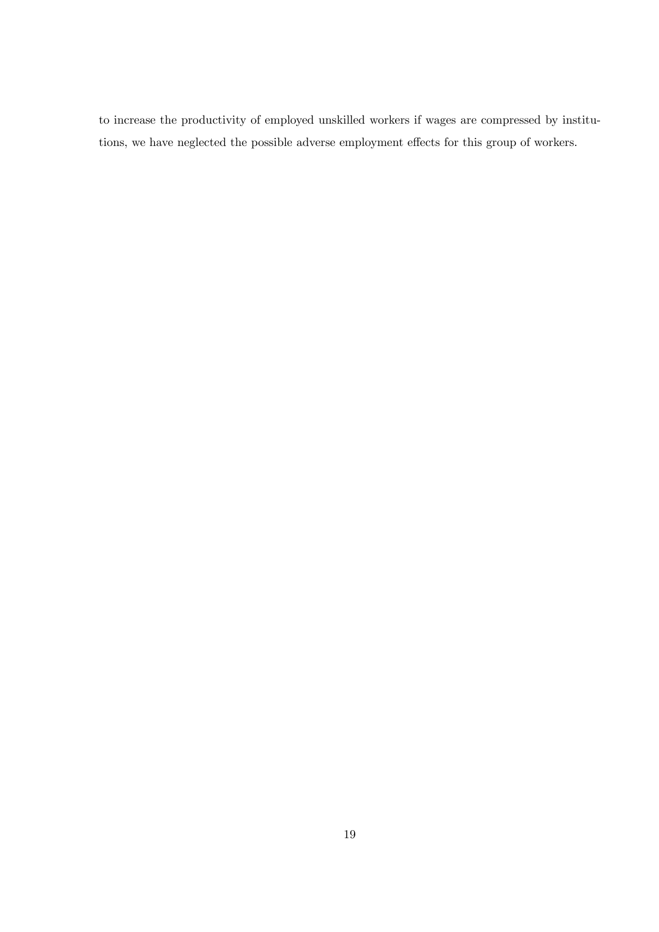to increase the productivity of employed unskilled workers if wages are compressed by institutions, we have neglected the possible adverse employment effects for this group of workers.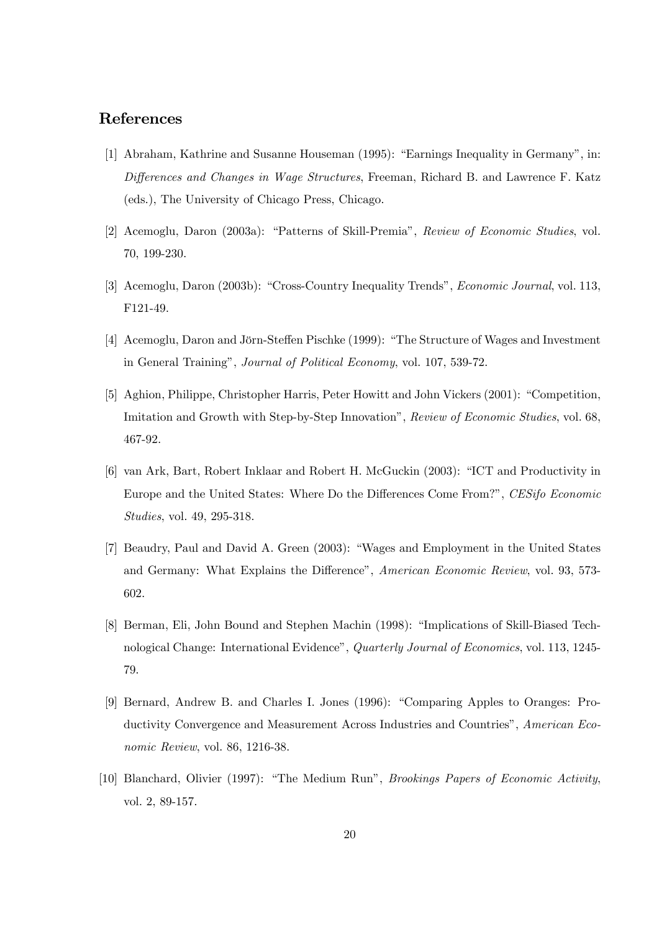## References

- [1] Abraham, Kathrine and Susanne Houseman (1995): "Earnings Inequality in Germany", in: Differences and Changes in Wage Structures, Freeman, Richard B. and Lawrence F. Katz (eds.), The University of Chicago Press, Chicago.
- [2] Acemoglu, Daron (2003a): "Patterns of Skill-Premia", Review of Economic Studies, vol. 70, 199-230.
- [3] Acemoglu, Daron (2003b): "Cross-Country Inequality Trends", *Economic Journal*, vol. 113, F121-49.
- [4] Acemoglu, Daron and Jörn-Steffen Pischke (1999): "The Structure of Wages and Investment in General Training", Journal of Political Economy, vol. 107, 539-72.
- [5] Aghion, Philippe, Christopher Harris, Peter Howitt and John Vickers (2001): "Competition, Imitation and Growth with Step-by-Step Innovation", Review of Economic Studies, vol. 68, 467-92.
- [6] van Ark, Bart, Robert Inklaar and Robert H. McGuckin (2003): "ICT and Productivity in Europe and the United States: Where Do the Differences Come From?", CESifo Economic Studies, vol. 49, 295-318.
- [7] Beaudry, Paul and David A. Green (2003): "Wages and Employment in the United States and Germany: What Explains the Difference", American Economic Review, vol. 93, 573-602.
- [8] Berman, Eli, John Bound and Stephen Machin (1998): "Implications of Skill-Biased Technological Change: International Evidence", Quarterly Journal of Economics, vol. 113, 1245-79.
- [9] Bernard, Andrew B. and Charles I. Jones (1996): "Comparing Apples to Oranges: Productivity Convergence and Measurement Across Industries and Countries", American Economic Review, vol. 86, 1216-38.
- [10] Blanchard, Olivier (1997): "The Medium Run", *Brookings Papers of Economic Activity*, vol. 2, 89-157.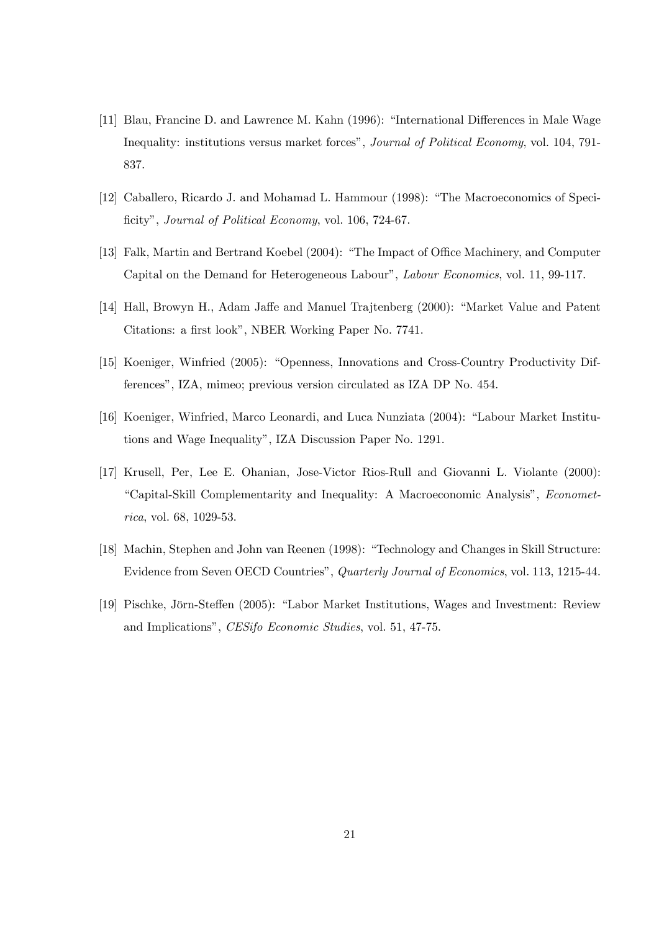- [11] Blau, Francine D. and Lawrence M. Kahn (1996): "International Differences in Male Wage Inequality: institutions versus market forces", Journal of Political Economy, vol. 104, 791-837.
- [12] Caballero, Ricardo J. and Mohamad L. Hammour (1998): "The Macroeconomics of Specificity", Journal of Political Economy, vol. 106, 724-67.
- [13] Falk, Martin and Bertrand Koebel (2004): "The Impact of Office Machinery, and Computer Capital on the Demand for Heterogeneous Labour", Labour Economics, vol. 11, 99-117.
- [14] Hall, Browyn H., Adam Jaffe and Manuel Trajtenberg (2000): "Market Value and Patent Citations: a first look", NBER Working Paper No. 7741.
- [15] Koeniger, Winfried (2005): "Openness, Innovations and Cross-Country Productivity Differencesî, IZA, mimeo; previous version circulated as IZA DP No. 454.
- [16] Koeniger, Winfried, Marco Leonardi, and Luca Nunziata (2004): "Labour Market Institutions and Wage Inequality", IZA Discussion Paper No. 1291.
- [17] Krusell, Per, Lee E. Ohanian, Jose-Victor Rios-Rull and Giovanni L. Violante (2000): "Capital-Skill Complementarity and Inequality: A Macroeconomic Analysis", Econometrica, vol. 68, 1029-53.
- [18] Machin, Stephen and John van Reenen (1998): "Technology and Changes in Skill Structure: Evidence from Seven OECD Countries", Quarterly Journal of Economics, vol. 113, 1215-44.
- [19] Pischke, Jörn-Steffen (2005): "Labor Market Institutions, Wages and Investment: Review and Implications", CESifo Economic Studies, vol. 51, 47-75.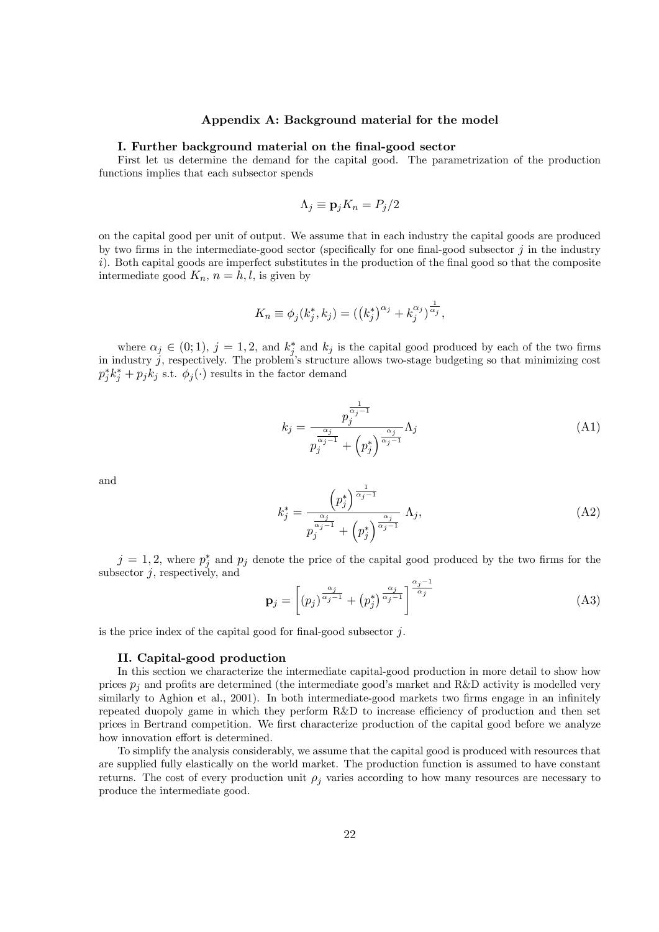#### Appendix A: Background material for the model

#### I. Further background material on the Önal-good sector

First let us determine the demand for the capital good. The parametrization of the production functions implies that each subsector spends

$$
\Lambda_j \equiv \mathbf{p}_j K_n = P_j/2
$$

on the capital good per unit of output. We assume that in each industry the capital goods are produced by two firms in the intermediate-good sector (specifically for one final-good subsector  $j$  in the industry  $i)$ . Both capital goods are imperfect substitutes in the production of the final good so that the composite intermediate good  $K_n$ ,  $n = h, l$ , is given by

$$
K_n \equiv \phi_j(k_j^*, k_j) = \left(\left(k_j^*\right)^{\alpha_j} + k_j^{\alpha_j}\right)^{\frac{1}{\alpha_j}},
$$

where  $\alpha_j \in (0, 1)$ ,  $j = 1, 2$ , and  $k_j^*$  and  $k_j$  is the capital good produced by each of the two firms in industry  $j$ , respectively. The problem's structure allows two-stage budgeting so that minimizing cost  $p_j^* k_j^* + p_j k_j$  s.t.  $\phi_j(\cdot)$  results in the factor demand

$$
k_j = \frac{p_j^{\frac{1}{\alpha_j - 1}}}{p_j^{\frac{\alpha_j}{\alpha_j - 1}} + \left(p_j^*\right)^{\frac{\alpha_j}{\alpha_j - 1}}}\Lambda_j\tag{A1}
$$

and

$$
k_j^* = \frac{\left(p_j^*\right)^{\frac{1}{\alpha_j - 1}}}{p_j^{\frac{\alpha_j}{\alpha_j - 1}} + \left(p_j^*\right)^{\frac{\alpha_j}{\alpha_j - 1}}}\Lambda_j,\tag{A2}
$$

 $j = 1, 2$ , where  $p_j^*$  and  $p_j$  denote the price of the capital good produced by the two firms for the subsector  $j$ , respectively, and

$$
\mathbf{p}_{j} = \left[ (p_{j})^{\frac{\alpha_{j}}{\alpha_{j}-1}} + (p_{j}^{*})^{\frac{\alpha_{j}}{\alpha_{j}-1}} \right]^{\frac{\alpha_{j}-1}{\alpha_{j}}} \tag{A3}
$$

is the price index of the capital good for final-good subsector  $j$ .

#### II. Capital-good production

In this section we characterize the intermediate capital-good production in more detail to show how prices  $p_i$  and profits are determined (the intermediate good's market and R&D activity is modelled very similarly to Aghion et al., 2001). In both intermediate-good markets two firms engage in an infinitely repeated duopoly game in which they perform  $R\&D$  to increase efficiency of production and then set prices in Bertrand competition. We first characterize production of the capital good before we analyze how innovation effort is determined.

To simplify the analysis considerably, we assume that the capital good is produced with resources that are supplied fully elastically on the world market. The production function is assumed to have constant returns. The cost of every production unit  $\rho_j$  varies according to how many resources are necessary to produce the intermediate good.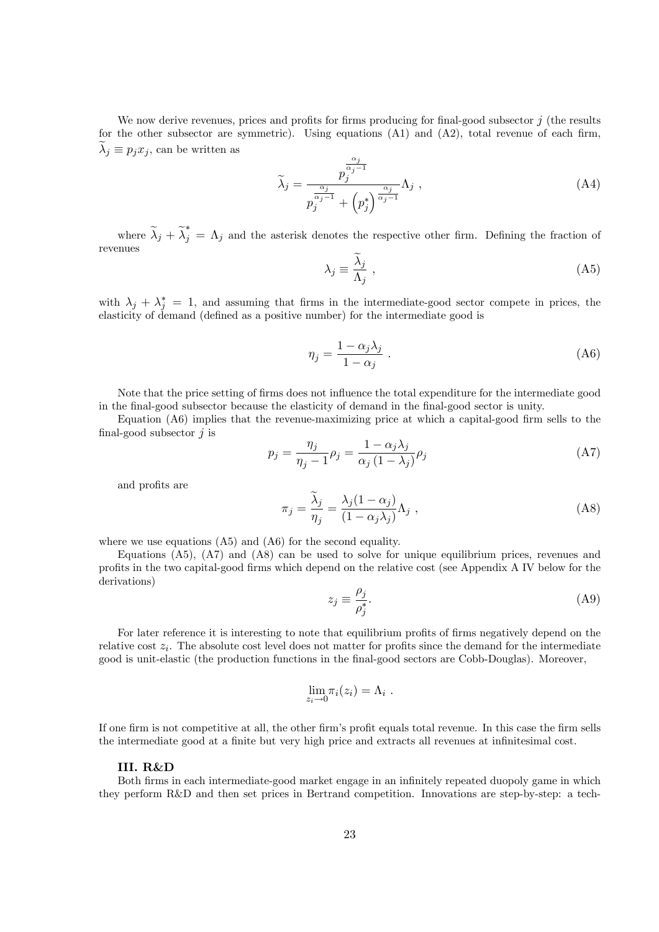We now derive revenues, prices and profits for firms producing for final-good subsector  $j$  (the results for the other subsector are symmetric). Using equations  $(A1)$  and  $(A2)$ , total revenue of each firm,  $\lambda_j \equiv p_j x_j$ , can be written as  $\alpha_i$ 

$$
\widetilde{\lambda}_{j} = \frac{p_{j}^{\frac{-\gamma}{\alpha_{j}-1}}}{p_{j}^{\frac{\alpha_{j}}{\alpha_{j}-1}} + \left(p_{j}^{*}\right)^{\frac{\alpha_{j}}{\alpha_{j}-1}}}\Lambda_{j} , \qquad (A4)
$$

where  $\tilde{\lambda}_j + \tilde{\lambda}_j^* = \Lambda_j$  and the asterisk denotes the respective other firm. Defining the fraction of revenues

$$
\lambda_j \equiv \frac{\lambda_j}{\Lambda_j} \,,\tag{A5}
$$

with  $\lambda_j + \lambda_j^* = 1$ , and assuming that firms in the intermediate-good sector compete in prices, the elasticity of demand (defined as a positive number) for the intermediate good is

$$
\eta_j = \frac{1 - \alpha_j \lambda_j}{1 - \alpha_j} \,. \tag{A6}
$$

Note that the price setting of firms does not influence the total expenditure for the intermediate good in the Önal-good subsector because the elasticity of demand in the Önal-good sector is unity.

Equation  $(A6)$  implies that the revenue-maximizing price at which a capital-good firm sells to the final-good subsector  $\dot{\mathbf{j}}$  is

$$
p_j = \frac{\eta_j}{\eta_j - 1} \rho_j = \frac{1 - \alpha_j \lambda_j}{\alpha_j (1 - \lambda_j)} \rho_j
$$
 (A7)

and profits are

$$
\pi_j = \frac{\tilde{\lambda}_j}{\eta_j} = \frac{\lambda_j (1 - \alpha_j)}{(1 - \alpha_j \lambda_j)} \Lambda_j , \qquad (A8)
$$

where we use equations  $(A5)$  and  $(A6)$  for the second equality.

Equations (A5), (A7) and (A8) can be used to solve for unique equilibrium prices, revenues and profits in the two capital-good firms which depend on the relative cost (see Appendix A IV below for the derivations)

$$
z_j \equiv \frac{\rho_j}{\rho_j^*}.\tag{A9}
$$

For later reference it is interesting to note that equilibrium profits of firms negatively depend on the relative cost  $z_i$ . The absolute cost level does not matter for profits since the demand for the intermediate good is unit-elastic (the production functions in the final-good sectors are Cobb-Douglas). Moreover,

$$
\lim_{z_i \to 0} \pi_i(z_i) = \Lambda_i .
$$

If one firm is not competitive at all, the other firm's profit equals total revenue. In this case the firm sells the intermediate good at a finite but very high price and extracts all revenues at infinitesimal cost.

#### III. R&D

Both firms in each intermediate-good market engage in an infinitely repeated duopoly game in which they perform R&D and then set prices in Bertrand competition. Innovations are step-by-step: a tech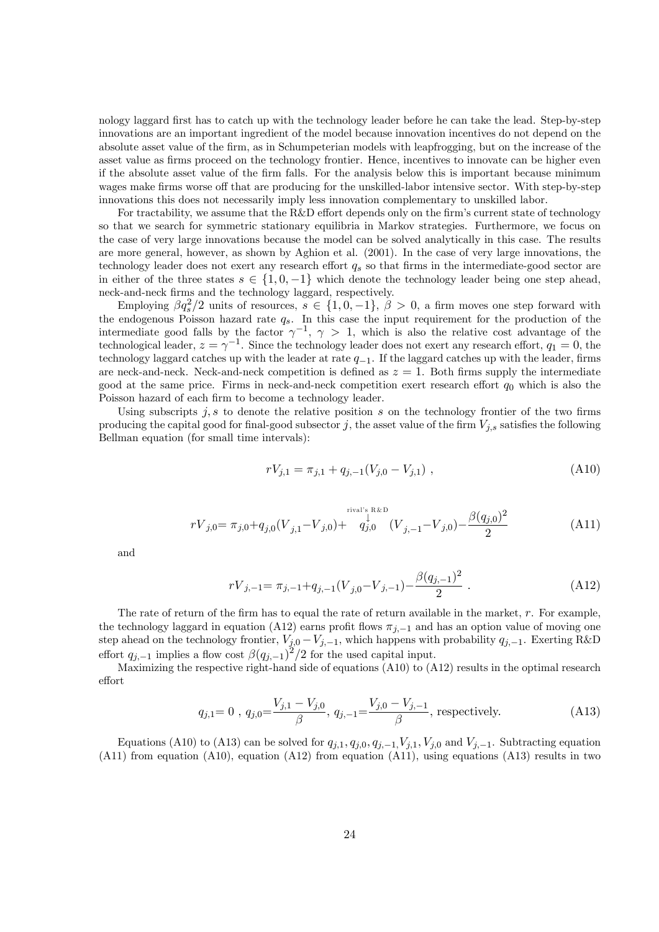nology laggard Örst has to catch up with the technology leader before he can take the lead. Step-by-step innovations are an important ingredient of the model because innovation incentives do not depend on the absolute asset value of the firm, as in Schumpeterian models with leapfrogging, but on the increase of the asset value as firms proceed on the technology frontier. Hence, incentives to innovate can be higher even if the absolute asset value of the firm falls. For the analysis below this is important because minimum wages make firms worse off that are producing for the unskilled-labor intensive sector. With step-by-step innovations this does not necessarily imply less innovation complementary to unskilled labor.

For tractability, we assume that the  $R&D$  effort depends only on the firm's current state of technology so that we search for symmetric stationary equilibria in Markov strategies. Furthermore, we focus on the case of very large innovations because the model can be solved analytically in this case. The results are more general, however, as shown by Aghion et al. (2001). In the case of very large innovations, the technology leader does not exert any research effort  $q_s$  so that firms in the intermediate-good sector are in either of the three states  $s \in \{1, 0, -1\}$  which denote the technology leader being one step ahead, neck-and-neck Örms and the technology laggard, respectively.

Employing  $\beta q_s^2/2$  units of resources,  $s \in \{1, 0, -1\}$ ,  $\beta > 0$ , a firm moves one step forward with the endogenous Poisson hazard rate  $q_s$ . In this case the input requirement for the production of the intermediate good falls by the factor  $\gamma^{-1}$ ,  $\gamma > 1$ , which is also the relative cost advantage of the technological leader,  $z = \gamma^{-1}$ . Since the technology leader does not exert any research effort,  $q_1 = 0$ , the technology laggard catches up with the leader at rate  $q_{-1}$ . If the laggard catches up with the leader, firms are neck-and-neck. Neck-and-neck competition is defined as  $z = 1$ . Both firms supply the intermediate good at the same price. Firms in neck-and-neck competition exert research effort  $q_0$  which is also the Poisson hazard of each firm to become a technology leader.

Using subscripts  $j, s$  to denote the relative position s on the technology frontier of the two firms producing the capital good for final-good subsector j, the asset value of the firm  $V_{j,s}$  satisfies the following Bellman equation (for small time intervals):

$$
rV_{j,1} = \pi_{j,1} + q_{j,-1}(V_{j,0} - V_{j,1}), \qquad (A10)
$$

$$
rV_{j,0} = \pi_{j,0} + q_{j,0}(V_{j,1} - V_{j,0}) + \n\begin{cases} \n\frac{\text{rival's R&D}{\downarrow} & \\
q_{j,0} & \\
q_{j,0} & \\
q_{j,-1} - V_{j,0} & \\
q_{j,-1} - V_{j,0} & \\
q_{j,-1} - V_{j,0} & \\
q_{j,-1} - V_{j,0} & \\
q_{j,-1} - V_{j,0} & \\
q_{j,-1} - V_{j,0} & \\
q_{j,-1} - V_{j,0} & \\
q_{j,-1} - V_{j,0} & \\
q_{j,-1} - V_{j,0} & \\
q_{j,-1} - V_{j,0} & \\
q_{j,-1} - V_{j,0} & \\
q_{j,-1} - V_{j,0} & \\
q_{j,-1} - V_{j,0} & \\
q_{j,-1} - V_{j,0} & \\
q_{j,-1} - V_{j,0} & \\
q_{j,-1} - V_{j,0} & \\
q_{j,-1} - V_{j,0} & \\
q_{j,-1} - V_{j,0} & \\
q_{j,-1} - V_{j,0} & \\
q_{j,-1} - V_{j,0} & \\
q_{j,-1} - V_{j,0} & \\
q_{j,-1} - V_{j,0} & \\
q_{j,-1} - V_{j,0} & \\
q_{j,-1} - V_{j,0} & \\
q_{j,-1} - V_{j,0} & \\
q_{j,-1} - V_{j,0} & \\
q_{j,-1} - V_{j,0} & \\
q_{j,-1} - V_{j,0} & \\
q_{j,-1} - V_{j,0} & \\
q_{j,-1} - V_{j,0} & \\
q_{j,-1} - V_{j,0} & \\
q_{j,-1} - V_{j,0} & \\
q_{j,-1} - V_{j,0} & \\
q_{j,-1} - V_{j,0} & \\
q_{j,-1} - V_{j,0} & \\
q_{j,-1} - V_{j,0} & \\
q_{j,-1} - V_{j,0} & \\
q_{j,-1} - V_{j,0} & \\
q_{j,-1} - V_{j,0} & \\
q_{j,-1} - V_{j,0
$$

and

$$
rV_{j,-1} = \pi_{j,-1} + q_{j,-1}(V_{j,0} - V_{j,-1}) - \frac{\beta(q_{j,-1})^2}{2} \tag{A12}
$$

The rate of return of the firm has to equal the rate of return available in the market,  $r$ . For example, the technology laggard in equation (A12) earns profit flows  $\pi_{i,-1}$  and has an option value of moving one step ahead on the technology frontier,  $V_{j,0} - V_{j,-1}$ , which happens with probability  $q_{j,-1}$ . Exerting R&D effort  $q_{j,-1}$  implies a flow cost  $\beta(q_{j,-1})^2/2$  for the used capital input.

Maximizing the respective right-hand side of equations (A10) to (A12) results in the optimal research effort

$$
q_{j,1} = 0
$$
,  $q_{j,0} = \frac{V_{j,1} - V_{j,0}}{\beta}$ ,  $q_{j,-1} = \frac{V_{j,0} - V_{j,-1}}{\beta}$ , respectively. (A13)

Equations (A10) to (A13) can be solved for  $q_{j,1}, q_{j,0}, q_{j,-1}, V_{j,1}, V_{j,0}$  and  $V_{j,-1}$ . Subtracting equation (A11) from equation (A10), equation (A12) from equation (A11), using equations (A13) results in two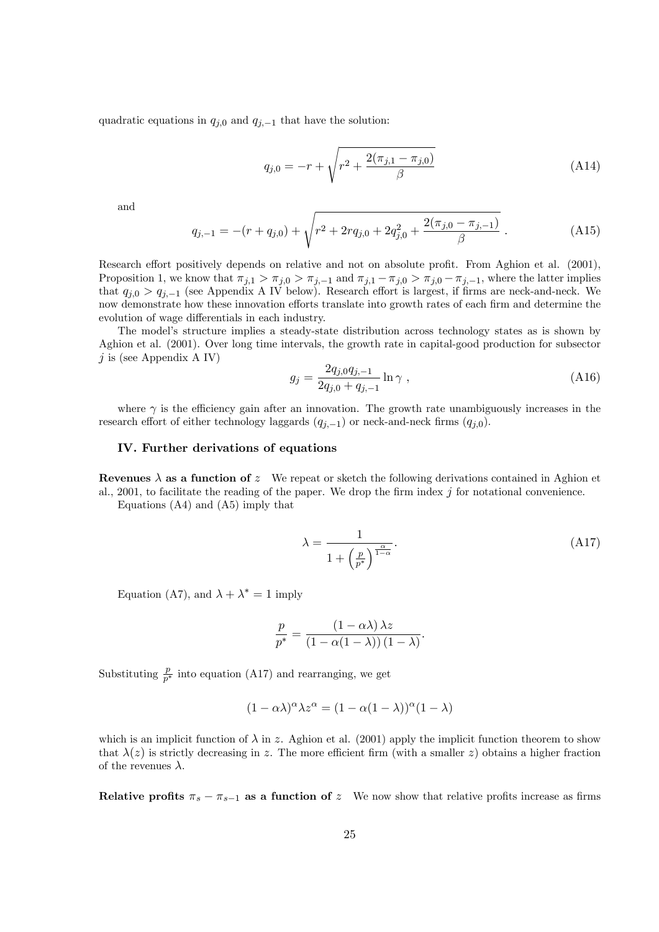quadratic equations in  $q_{j,0}$  and  $q_{j,-1}$  that have the solution:

$$
q_{j,0} = -r + \sqrt{r^2 + \frac{2(\pi_{j,1} - \pi_{j,0})}{\beta}} \tag{A14}
$$

and

$$
q_{j,-1} = -(r + q_{j,0}) + \sqrt{r^2 + 2rq_{j,0} + 2q_{j,0}^2 + \frac{2(\pi_{j,0} - \pi_{j,-1})}{\beta}}.
$$
 (A15)

Research effort positively depends on relative and not on absolute profit. From Aghion et al. (2001), Proposition 1, we know that  $\pi_{j,1} > \pi_{j,0} > \pi_{j,-1}$  and  $\pi_{j,1} - \pi_{j,0} > \pi_{j,0} - \pi_{j,-1}$ , where the latter implies that  $q_{j,0} > q_{j,-1}$  (see Appendix A IV below). Research effort is largest, if firms are neck-and-neck. We now demonstrate how these innovation efforts translate into growth rates of each firm and determine the evolution of wage differentials in each industry.

The model's structure implies a steady-state distribution across technology states as is shown by Aghion et al. (2001). Over long time intervals, the growth rate in capital-good production for subsector  $j$  is (see Appendix A IV)

$$
g_j = \frac{2q_{j,0}q_{j,-1}}{2q_{j,0} + q_{j,-1}} \ln \gamma , \qquad (A16)
$$

where  $\gamma$  is the efficiency gain after an innovation. The growth rate unambiguously increases in the research effort of either technology laggards  $(q_{j,-1})$  or neck-and-neck firms  $(q_{j,0})$ .

#### IV. Further derivations of equations

Revenues  $\lambda$  as a function of z We repeat or sketch the following derivations contained in Aghion et al., 2001, to facilitate the reading of the paper. We drop the firm index  $j$  for notational convenience.

Equations (A4) and (A5) imply that

$$
\lambda = \frac{1}{1 + \left(\frac{p}{p^*}\right)^{\frac{\alpha}{1-\alpha}}}.\tag{A17}
$$

Equation (A7), and  $\lambda + \lambda^* = 1$  imply

$$
\frac{p}{p^*} = \frac{(1 - \alpha \lambda) \lambda z}{(1 - \alpha (1 - \lambda)) (1 - \lambda)}.
$$

Substituting  $\frac{p}{p^*}$  into equation (A17) and rearranging, we get

$$
(1 - \alpha \lambda)^{\alpha} \lambda z^{\alpha} = (1 - \alpha (1 - \lambda))^{\alpha} (1 - \lambda)
$$

which is an implicit function of  $\lambda$  in z. Aghion et al. (2001) apply the implicit function theorem to show that  $\lambda(z)$  is strictly decreasing in z. The more efficient firm (with a smaller z) obtains a higher fraction of the revenues  $\lambda$ .

Relative profits  $\pi_s - \pi_{s-1}$  as a function of z We now show that relative profits increase as firms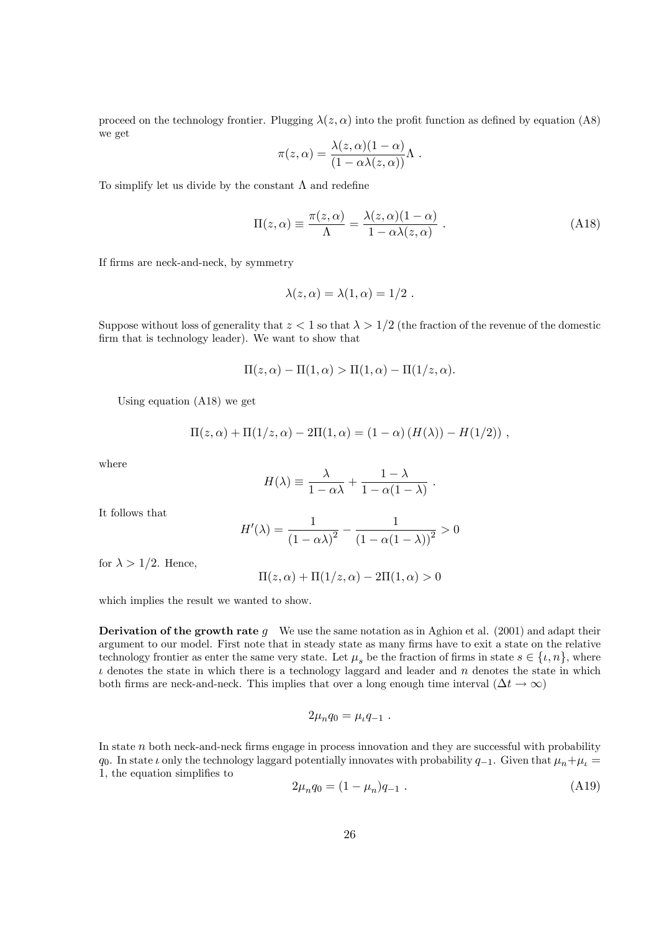proceed on the technology frontier. Plugging  $\lambda(z, \alpha)$  into the profit function as defined by equation (A8) we get

$$
\pi(z,\alpha) = \frac{\lambda(z,\alpha)(1-\alpha)}{(1-\alpha\lambda(z,\alpha))}\Lambda.
$$

To simplify let us divide by the constant  $\Lambda$  and redefine

$$
\Pi(z,\alpha) \equiv \frac{\pi(z,\alpha)}{\Lambda} = \frac{\lambda(z,\alpha)(1-\alpha)}{1-\alpha\lambda(z,\alpha)} .
$$
 (A18)

.

If Örms are neck-and-neck, by symmetry

$$
\lambda(z,\alpha)=\lambda(1,\alpha)=1/2.
$$

Suppose without loss of generality that  $z < 1$  so that  $\lambda > 1/2$  (the fraction of the revenue of the domestic firm that is technology leader). We want to show that

$$
\Pi(z,\alpha) - \Pi(1,\alpha) > \Pi(1,\alpha) - \Pi(1/z,\alpha).
$$

Using equation (A18) we get

$$
\Pi(z,\alpha) + \Pi(1/z,\alpha) - 2\Pi(1,\alpha) = (1-\alpha) (H(\lambda)) - H(1/2)),
$$

where

$$
H(\lambda) \equiv \frac{\lambda}{1 - \alpha \lambda} + \frac{1 - \lambda}{1 - \alpha(1 - \lambda)}
$$

It follows that

$$
H'(\lambda) = \frac{1}{(1 - \alpha \lambda)^2} - \frac{1}{(1 - \alpha(1 - \lambda))^2} > 0
$$

for  $\lambda > 1/2$ . Hence,

$$
\Pi(z,\alpha) + \Pi(1/z,\alpha) - 2\Pi(1,\alpha) > 0
$$

which implies the result we wanted to show.

**Derivation of the growth rate g** We use the same notation as in Aghion et al. (2001) and adapt their argument to our model. First note that in steady state as many firms have to exit a state on the relative technology frontier as enter the same very state. Let  $\mu_s$  be the fraction of firms in state  $s \in \{\iota, n\}$ , where  $\iota$  denotes the state in which there is a technology laggard and leader and  $\iota$  denotes the state in which both firms are neck-and-neck. This implies that over a long enough time interval  $(\Delta t \to \infty)$ 

$$
2\mu_nq_0=\mu_tq_{-1}\ .
$$

In state  $n$  both neck-and-neck firms engage in process innovation and they are successful with probability  $q_0$ . In state  $\iota$  only the technology laggard potentially innovates with probability  $q_{-1}$ . Given that  $\mu_n + \mu_\iota =$ 1, the equation simplifies to

$$
2\mu_n q_0 = (1 - \mu_n)q_{-1} \tag{A19}
$$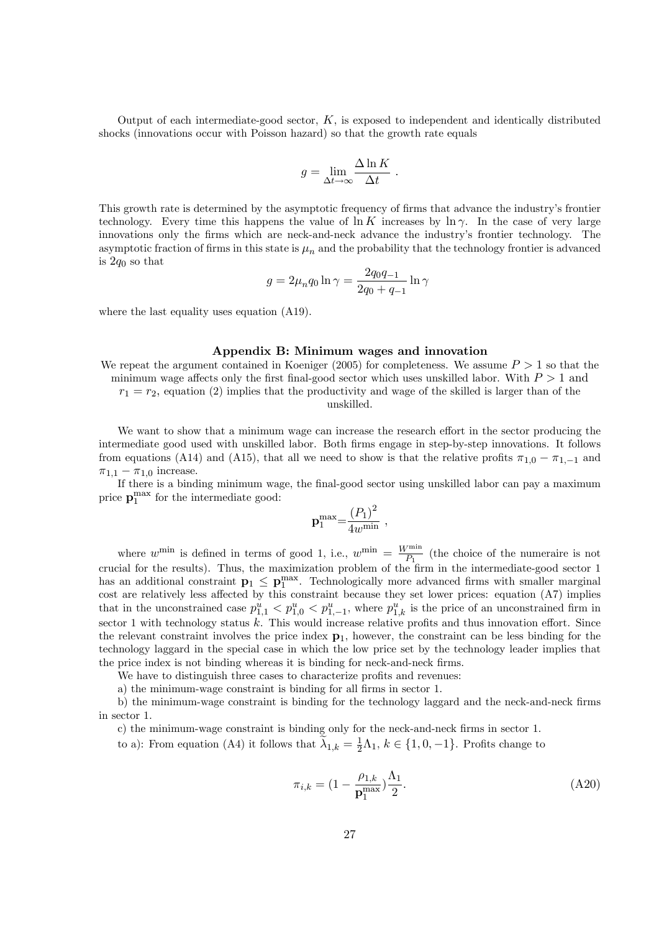Output of each intermediate-good sector,  $K$ , is exposed to independent and identically distributed shocks (innovations occur with Poisson hazard) so that the growth rate equals

$$
g = \lim_{\Delta t \to \infty} \frac{\Delta \ln K}{\Delta t} .
$$

This growth rate is determined by the asymptotic frequency of firms that advance the industry's frontier technology. Every time this happens the value of  $\ln K$  increases by  $\ln \gamma$ . In the case of very large innovations only the firms which are neck-and-neck advance the industry's frontier technology. The asymptotic fraction of firms in this state is  $\mu_n$  and the probability that the technology frontier is advanced is  $2a_0$  so that

$$
g = 2\mu_n q_0 \ln \gamma = \frac{2q_0 q_{-1}}{2q_0 + q_{-1}} \ln \gamma
$$

where the last equality uses equation (A19).

#### Appendix B: Minimum wages and innovation

We repeat the argument contained in Koeniger (2005) for completeness. We assume  $P > 1$  so that the minimum wage affects only the first final-good sector which uses unskilled labor. With  $P > 1$  and  $r_1 = r_2$ , equation (2) implies that the productivity and wage of the skilled is larger than of the unskilled.

We want to show that a minimum wage can increase the research effort in the sector producing the intermediate good used with unskilled labor. Both Örms engage in step-by-step innovations. It follows from equations (A14) and (A15), that all we need to show is that the relative profits  $\pi_{1,0} - \pi_{1,-1}$  and  $\pi_{1,1} - \pi_{1,0}$  increase.

If there is a binding minimum wage, the final-good sector using unskilled labor can pay a maximum price  $\mathbf{p}_1^{\text{max}}$  for the intermediate good:

$$
\mathbf{p}_1^{\max} = \frac{\left(P_1\right)^2}{4w^{\min}} ,
$$

where  $w^{\min}$  is defined in terms of good 1, i.e.,  $w^{\min} = \frac{W^{\min}}{P_1}$  $\frac{m}{P_1}$  (the choice of the numeraire is not crucial for the results). Thus, the maximization problem of the Örm in the intermediate-good sector 1 has an additional constraint  $\mathbf{p}_1 \leq \mathbf{p}_1^{\max}$ . Technologically more advanced firms with smaller marginal cost are relatively less affected by this constraint because they set lower prices: equation  $(A7)$  implies that in the unconstrained case  $p_{1,1}^u < p_{1,0}^u < p_{1,-1}^u$ , where  $p_{1,k}^u$  is the price of an unconstrained firm in sector 1 with technology status  $k$ . This would increase relative profits and thus innovation effort. Since the relevant constraint involves the price index  $p_1$ , however, the constraint can be less binding for the technology laggard in the special case in which the low price set by the technology leader implies that the price index is not binding whereas it is binding for neck-and-neck firms.

We have to distinguish three cases to characterize profits and revenues:

a) the minimum-wage constraint is binding for all firms in sector 1.

b) the minimum-wage constraint is binding for the technology laggard and the neck-and-neck firms in sector 1.

c) the minimum-wage constraint is binding only for the neck-and-neck firms in sector 1.

to a): From equation (A4) it follows that  $\tilde{\lambda}_{1,k} = \frac{1}{2}\Lambda_1$ ,  $k \in \{1, 0, -1\}$ . Profits change to

$$
\pi_{i,k} = (1 - \frac{\rho_{1,k}}{\mathbf{p}_1^{\max}}) \frac{\Lambda_1}{2}.
$$
\n(A20)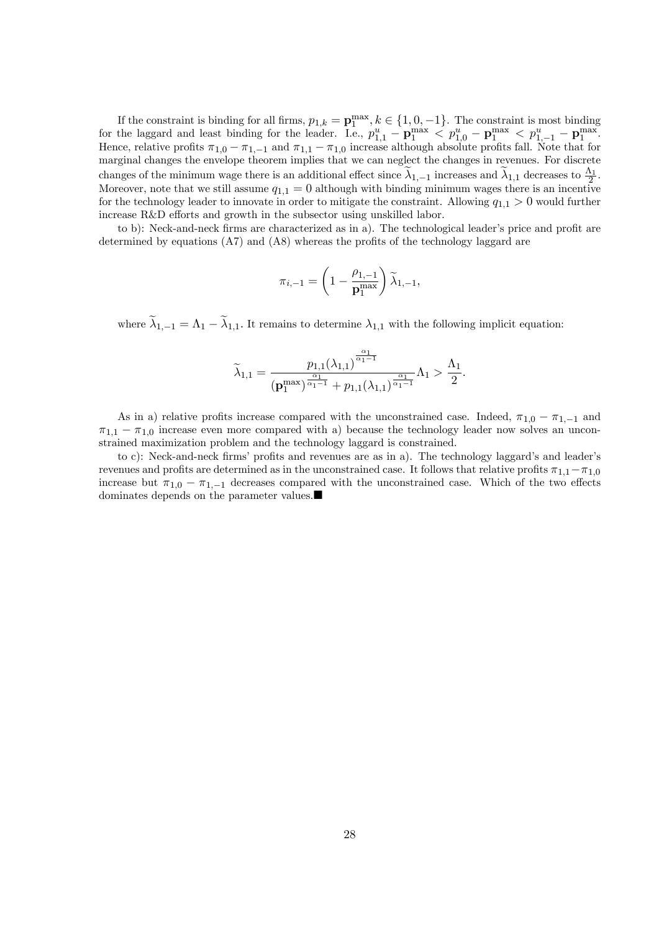If the constraint is binding for all firms,  $p_{1,k} = \mathbf{p}_1^{\max}, k \in \{1, 0, -1\}$ . The constraint is most binding for the laggard and least binding for the leader. I.e.,  $p_{1,1}^u - \mathbf{p}_1^{\max} < p_{1,0}^u - \mathbf{p}_1^{\max} < p_{1,-1}^u - \mathbf{p}_1^{\max}$ Hence, relative profits  $\pi_{1,0} - \pi_{1,-1}$  and  $\pi_{1,1} - \pi_{1,0}$  increase although absolute profits fall. Note that for marginal changes the envelope theorem implies that we can neglect the changes in revenues. For discrete changes of the minimum wage there is an additional effect since  $\widetilde{\lambda}_{1,-1}$  increases and  $\widetilde{\lambda}_{1,1}$  decreases to  $\frac{\Lambda_1}{2}$ . Moreover, note that we still assume  $q_{1,1} = 0$  although with binding minimum wages there is an incentive for the technology leader to innovate in order to mitigate the constraint. Allowing  $q_{1,1} > 0$  would further increase  $R&D$  efforts and growth in the subsector using unskilled labor.

to b): Neck-and-neck firms are characterized as in a). The technological leader's price and profit are determined by equations  $(A7)$  and  $(A8)$  whereas the profits of the technology laggard are

$$
\pi_{i,-1} = \left(1 - \frac{\rho_{1,-1}}{\mathbf{p}_1^{\mathrm{max}}}\right) \widetilde{\lambda}_{1,-1},
$$

where  $\widetilde{\lambda}_{1,-1} = \Lambda_1 - \widetilde{\lambda}_{1,1}$ . It remains to determine  $\lambda_{1,1}$  with the following implicit equation:

$$
\widetilde{\lambda}_{1,1}=\frac{p_{1,1}(\lambda_{1,1})^{\frac{\alpha_1}{\alpha_1-1}}}{(\mathbf{p}_1^{\mathrm{max}})^{\frac{\alpha_1}{\alpha_1-1}}+p_{1,1}(\lambda_{1,1})^{\frac{\alpha_1}{\alpha_1-1}}}\Lambda_1>\frac{\Lambda_1}{2}.
$$

As in a) relative profits increase compared with the unconstrained case. Indeed,  $\pi_{1,0} - \pi_{1,-1}$  and  $\pi_{1,1} - \pi_{1,0}$  increase even more compared with a) because the technology leader now solves an unconstrained maximization problem and the technology laggard is constrained.

to c): Neck-and-neck firms' profits and revenues are as in a). The technology laggard's and leader's revenues and profits are determined as in the unconstrained case. It follows that relative profits  $\pi_{1,1}-\pi_{1,0}$ increase but  $\pi_{1,0} - \pi_{1,-1}$  decreases compared with the unconstrained case. Which of the two effects dominates depends on the parameter values.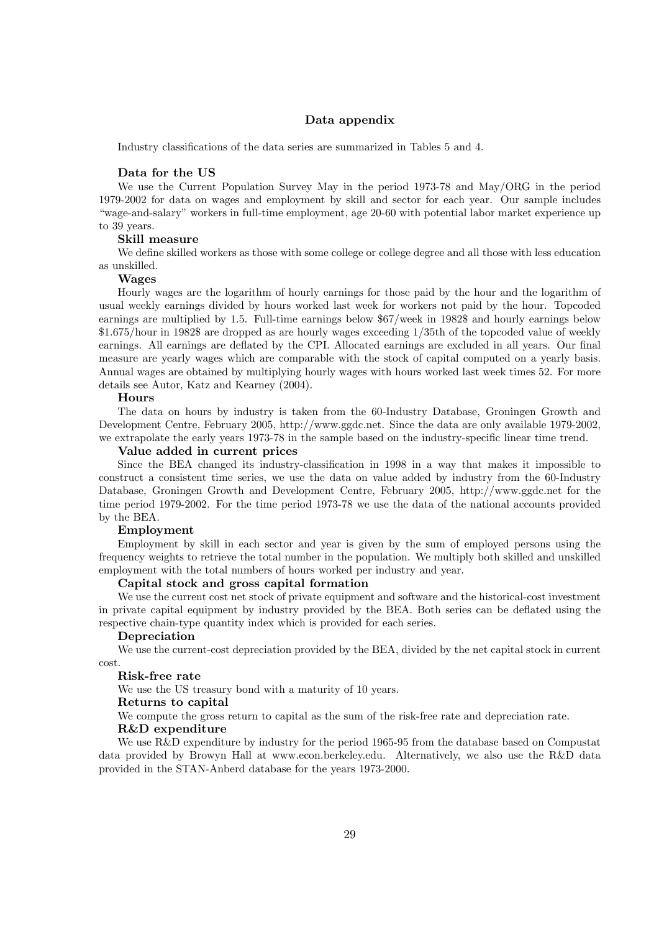### Data appendix

Industry classifications of the data series are summarized in Tables 5 and 4.

#### Data for the US

We use the Current Population Survey May in the period 1973-78 and May/ORG in the period 1979-2002 for data on wages and employment by skill and sector for each year. Our sample includes ìwage-and-salaryîworkers in full-time employment, age 20-60 with potential labor market experience up to 39 years.

#### Skill measure

We define skilled workers as those with some college or college degree and all those with less education as unskilled.

#### Wages

Hourly wages are the logarithm of hourly earnings for those paid by the hour and the logarithm of usual weekly earnings divided by hours worked last week for workers not paid by the hour. Topcoded earnings are multiplied by 1.5. Full-time earnings below \$67/week in 1982\$ and hourly earnings below \$1.675/hour in 1982\$ are dropped as are hourly wages exceeding 1/35th of the topcoded value of weekly earnings. All earnings are deflated by the CPI. Allocated earnings are excluded in all years. Our final measure are yearly wages which are comparable with the stock of capital computed on a yearly basis. Annual wages are obtained by multiplying hourly wages with hours worked last week times 52. For more details see Autor, Katz and Kearney (2004).

#### Hours

The data on hours by industry is taken from the 60-Industry Database, Groningen Growth and Development Centre, February 2005, http://www.ggdc.net. Since the data are only available 1979-2002, we extrapolate the early years 1973-78 in the sample based on the industry-specific linear time trend.

#### Value added in current prices

Since the BEA changed its industry-classification in 1998 in a way that makes it impossible to construct a consistent time series, we use the data on value added by industry from the 60-Industry Database, Groningen Growth and Development Centre, February 2005, http://www.ggdc.net for the time period 1979-2002. For the time period 1973-78 we use the data of the national accounts provided by the BEA.

#### Employment

Employment by skill in each sector and year is given by the sum of employed persons using the frequency weights to retrieve the total number in the population. We multiply both skilled and unskilled employment with the total numbers of hours worked per industry and year.

#### Capital stock and gross capital formation

We use the current cost net stock of private equipment and software and the historical-cost investment in private capital equipment by industry provided by the BEA. Both series can be deflated using the respective chain-type quantity index which is provided for each series.

#### Depreciation

We use the current-cost depreciation provided by the BEA, divided by the net capital stock in current cost.

#### Risk-free rate

We use the US treasury bond with a maturity of 10 years.

#### Returns to capital

We compute the gross return to capital as the sum of the risk-free rate and depreciation rate. R&D expenditure

We use R&D expenditure by industry for the period 1965-95 from the database based on Compustat data provided by Browyn Hall at www.econ.berkeley.edu. Alternatively, we also use the R&D data provided in the STAN-Anberd database for the years 1973-2000.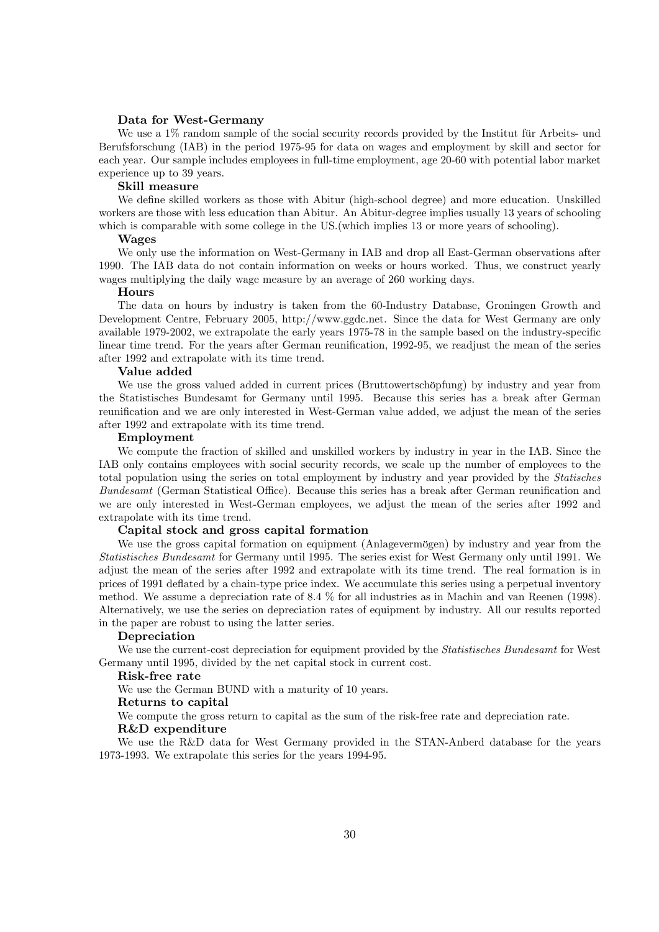#### Data for West-Germany

We use a  $1\%$  random sample of the social security records provided by the Institut für Arbeits- und Berufsforschung (IAB) in the period 1975-95 for data on wages and employment by skill and sector for each year. Our sample includes employees in full-time employment, age 20-60 with potential labor market experience up to 39 years.

#### Skill measure

We define skilled workers as those with Abitur (high-school degree) and more education. Unskilled workers are those with less education than Abitur. An Abitur-degree implies usually 13 years of schooling which is comparable with some college in the US. (which implies 13 or more years of schooling).

#### Wages

We only use the information on West-Germany in IAB and drop all East-German observations after 1990. The IAB data do not contain information on weeks or hours worked. Thus, we construct yearly wages multiplying the daily wage measure by an average of 260 working days.

#### Hours

The data on hours by industry is taken from the 60-Industry Database, Groningen Growth and Development Centre, February 2005, http://www.ggdc.net. Since the data for West Germany are only available 1979-2002, we extrapolate the early years 1975-78 in the sample based on the industry-specific linear time trend. For the years after German reunification, 1992-95, we readjust the mean of the series after 1992 and extrapolate with its time trend.

#### Value added

We use the gross valued added in current prices (Bruttowertschöpfung) by industry and year from the Statistisches Bundesamt for Germany until 1995. Because this series has a break after German reunification and we are only interested in West-German value added, we adjust the mean of the series after 1992 and extrapolate with its time trend.

#### Employment

We compute the fraction of skilled and unskilled workers by industry in year in the IAB. Since the IAB only contains employees with social security records, we scale up the number of employees to the total population using the series on total employment by industry and year provided by the Statisches Bundesamt (German Statistical Office). Because this series has a break after German reunification and we are only interested in West-German employees, we adjust the mean of the series after 1992 and extrapolate with its time trend.

#### Capital stock and gross capital formation

We use the gross capital formation on equipment (Anlagevermögen) by industry and year from the Statistisches Bundesamt for Germany until 1995. The series exist for West Germany only until 1991. We adjust the mean of the series after 1992 and extrapolate with its time trend. The real formation is in prices of 1991 deáated by a chain-type price index. We accumulate this series using a perpetual inventory method. We assume a depreciation rate of 8.4 % for all industries as in Machin and van Reenen (1998). Alternatively, we use the series on depreciation rates of equipment by industry. All our results reported in the paper are robust to using the latter series.

#### Depreciation

We use the current-cost depreciation for equipment provided by the *Statistisches Bundesamt* for West Germany until 1995, divided by the net capital stock in current cost.

#### Risk-free rate

We use the German BUND with a maturity of 10 years.

#### Returns to capital

We compute the gross return to capital as the sum of the risk-free rate and depreciation rate. R&D expenditure

We use the R&D data for West Germany provided in the STAN-Anberd database for the years 1973-1993. We extrapolate this series for the years 1994-95.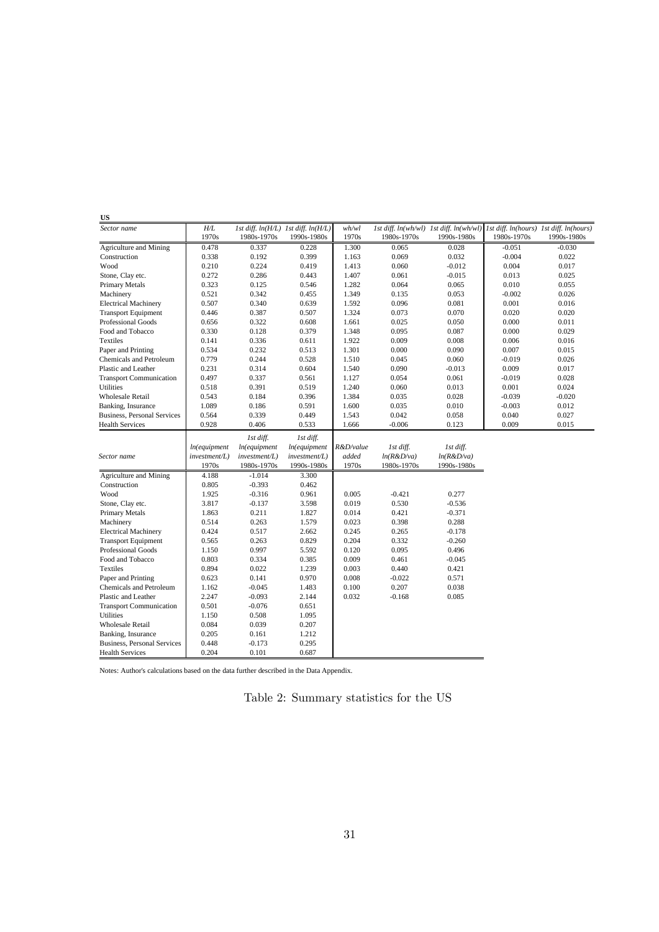| US                                 |               |                                     |               |           |             |                                                                                 |             |             |
|------------------------------------|---------------|-------------------------------------|---------------|-----------|-------------|---------------------------------------------------------------------------------|-------------|-------------|
| Sector name                        | H/L           | 1st diff. ln(H/L) 1st diff. ln(H/L) |               | wh/wl     |             | 1st diff. ln(wh/wl) 1st diff. ln(wh/wl) 1st diff. ln(hours) 1st diff. ln(hours) |             |             |
|                                    | 1970s         | 1980s-1970s                         | 1990s-1980s   | 1970s     | 1980s-1970s | 1990s-1980s                                                                     | 1980s-1970s | 1990s-1980s |
| Agriculture and Mining             | 0.478         | 0.337                               | 0.228         | 1.300     | 0.065       | 0.028                                                                           | $-0.051$    | $-0.030$    |
| Construction                       | 0.338         | 0.192                               | 0.399         | 1.163     | 0.069       | 0.032                                                                           | $-0.004$    | 0.022       |
| Wood                               | 0.210         | 0.224                               | 0.419         | 1.413     | 0.060       | $-0.012$                                                                        | 0.004       | 0.017       |
| Stone, Clay etc.                   | 0.272         | 0.286                               | 0.443         | 1.407     | 0.061       | $-0.015$                                                                        | 0.013       | 0.025       |
| Primary Metals                     | 0.323         | 0.125                               | 0.546         | 1.282     | 0.064       | 0.065                                                                           | 0.010       | 0.055       |
| Machinery                          | 0.521         | 0.342                               | 0.455         | 1.349     | 0.135       | 0.053                                                                           | $-0.002$    | 0.026       |
| <b>Electrical Machinery</b>        | 0.507         | 0.340                               | 0.639         | 1.592     | 0.096       | 0.081                                                                           | 0.001       | 0.016       |
| <b>Transport Equipment</b>         | 0.446         | 0.387                               | 0.507         | 1.324     | 0.073       | 0.070                                                                           | 0.020       | 0.020       |
| <b>Professional Goods</b>          | 0.656         | 0.322                               | 0.608         | 1.661     | 0.025       | 0.050                                                                           | 0.000       | 0.011       |
| Food and Tobacco                   | 0.330         | 0.128                               | 0.379         | 1.348     | 0.095       | 0.087                                                                           | 0.000       | 0.029       |
| <b>Textiles</b>                    | 0.141         | 0.336                               | 0.611         | 1.922     | 0.009       | 0.008                                                                           | 0.006       | 0.016       |
| Paper and Printing                 | 0.534         | 0.232                               | 0.513         | 1.301     | 0.000       | 0.090                                                                           | 0.007       | 0.015       |
| Chemicals and Petroleum            | 0.779         | 0.244                               | 0.528         | 1.510     | 0.045       | 0.060                                                                           | $-0.019$    | 0.026       |
| Plastic and Leather                | 0.231         | 0.314                               | 0.604         | 1.540     | 0.090       | $-0.013$                                                                        | 0.009       | 0.017       |
| <b>Transport Communication</b>     | 0.497         | 0.337                               | 0.561         | 1.127     | 0.054       | 0.061                                                                           | $-0.019$    | 0.028       |
| <b>Utilities</b>                   | 0.518         | 0.391                               | 0.519         | 1.240     | 0.060       | 0.013                                                                           | 0.001       | 0.024       |
| <b>Wholesale Retail</b>            | 0.543         | 0.184                               | 0.396         | 1.384     | 0.035       | 0.028                                                                           | $-0.039$    | $-0.020$    |
| Banking, Insurance                 | 1.089         | 0.186                               | 0.591         | 1.600     | 0.035       | 0.010                                                                           | $-0.003$    | 0.012       |
| <b>Business, Personal Services</b> | 0.564         | 0.339                               | 0.449         | 1.543     | 0.042       | 0.058                                                                           | 0.040       | 0.027       |
| <b>Health Services</b>             | 0.928         | 0.406                               | 0.533         | 1.666     | $-0.006$    | 0.123                                                                           | 0.009       | 0.015       |
|                                    |               | 1st diff.                           | 1st diff.     |           |             |                                                                                 |             |             |
|                                    | In(equipment  | ln(equipment                        | In(equipment  | R&D/value | 1st diff.   | 1st diff.                                                                       |             |             |
| Sector name                        | investment/L) | investment/L)                       | investment/L) | added     | ln(R&D/va)  | ln(R&D/va)                                                                      |             |             |
|                                    | 1970s         | 1980s-1970s                         | 1990s-1980s   | 1970s     | 1980s-1970s | 1990s-1980s                                                                     |             |             |
| Agriculture and Mining             | 4.188         | $-1.014$                            | 3.300         |           |             |                                                                                 |             |             |
| Construction                       | 0.805         | $-0.393$                            | 0.462         |           |             |                                                                                 |             |             |
| Wood                               | 1.925         | $-0.316$                            | 0.961         | 0.005     | $-0.421$    | 0.277                                                                           |             |             |
| Stone, Clay etc.                   | 3.817         | $-0.137$                            | 3.598         | 0.019     | 0.530       | $-0.536$                                                                        |             |             |
| Primary Metals                     | 1.863         | 0.211                               | 1.827         | 0.014     | 0.421       | $-0.371$                                                                        |             |             |
| Machinery                          | 0.514         | 0.263                               | 1.579         | 0.023     | 0.398       | 0.288                                                                           |             |             |
| <b>Electrical Machinery</b>        | 0.424         | 0.517                               | 2.662         | 0.245     | 0.265       | $-0.178$                                                                        |             |             |
| <b>Transport Equipment</b>         | 0.565         | 0.263                               | 0.829         | 0.204     | 0.332       | $-0.260$                                                                        |             |             |
| Professional Goods                 | 1.150         | 0.997                               | 5.592         | 0.120     | 0.095       | 0.496                                                                           |             |             |
| Food and Tobacco                   | 0.803         | 0.334                               | 0.385         | 0.009     | 0.461       | $-0.045$                                                                        |             |             |
| Textiles                           | 0.894         | 0.022                               | 1.239         | 0.003     | 0.440       | 0.421                                                                           |             |             |
| Paper and Printing                 | 0.623         | 0.141                               | 0.970         | 0.008     | $-0.022$    | 0.571                                                                           |             |             |
| Chemicals and Petroleum            | 1.162         | $-0.045$                            | 1.483         | 0.100     | 0.207       | 0.038                                                                           |             |             |
| Plastic and Leather                | 2.247         | $-0.093$                            | 2.144         | 0.032     | $-0.168$    | 0.085                                                                           |             |             |
| <b>Transport Communication</b>     | 0.501         | $-0.076$                            | 0.651         |           |             |                                                                                 |             |             |
| <b>Utilities</b>                   | 1.150         | 0.508                               | 1.095         |           |             |                                                                                 |             |             |
| <b>Wholesale Retail</b>            | 0.084         | 0.039                               | 0.207         |           |             |                                                                                 |             |             |
| Banking, Insurance                 | 0.205         | 0.161                               | 1.212         |           |             |                                                                                 |             |             |
| <b>Business, Personal Services</b> | 0.448         | $-0.173$                            | 0.295         |           |             |                                                                                 |             |             |
| <b>Health Services</b>             | 0.204         | 0.101                               | 0.687         |           |             |                                                                                 |             |             |

Notes: Author's calculations based on the data further described in the Data Appendix.

Table 2: Summary statistics for the US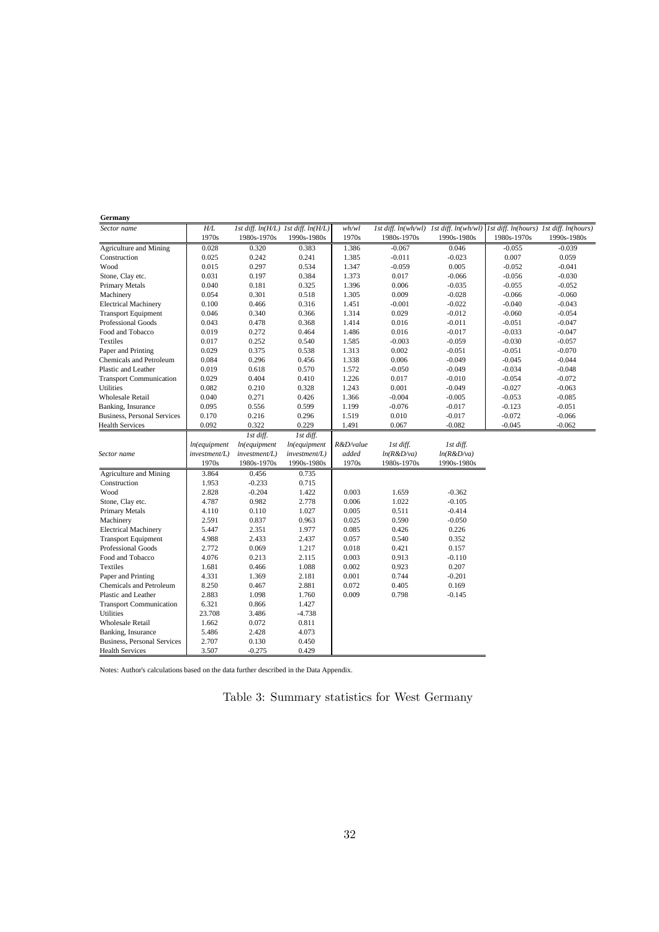| Germany                            |               |               |                                     |           |             |                                                                                 |             |             |
|------------------------------------|---------------|---------------|-------------------------------------|-----------|-------------|---------------------------------------------------------------------------------|-------------|-------------|
| Sector name                        | H/L           |               | 1st diff. ln(H/L) 1st diff. ln(H/L) | wh/wl     |             | 1st diff. ln(wh/wl) 1st diff. ln(wh/wl) 1st diff. ln(hours) 1st diff. ln(hours) |             |             |
|                                    | 1970s         | 1980s-1970s   | 1990s-1980s                         | 1970s     | 1980s-1970s | 1990s-1980s                                                                     | 1980s-1970s | 1990s-1980s |
| Agriculture and Mining             | 0.028         | 0.320         | 0.383                               | 1.386     | $-0.067$    | 0.046                                                                           | $-0.055$    | $-0.039$    |
| Construction                       | 0.025         | 0.242         | 0.241                               | 1.385     | $-0.011$    | $-0.023$                                                                        | 0.007       | 0.059       |
| Wood                               | 0.015         | 0.297         | 0.534                               | 1.347     | $-0.059$    | 0.005                                                                           | $-0.052$    | $-0.041$    |
| Stone, Clay etc.                   | 0.031         | 0.197         | 0.384                               | 1.373     | 0.017       | $-0.066$                                                                        | $-0.056$    | $-0.030$    |
| Primary Metals                     | 0.040         | 0.181         | 0.325                               | 1.396     | 0.006       | $-0.035$                                                                        | $-0.055$    | $-0.052$    |
| Machinery                          | 0.054         | 0.301         | 0.518                               | 1.305     | 0.009       | $-0.028$                                                                        | $-0.066$    | $-0.060$    |
| <b>Electrical Machinery</b>        | 0.100         | 0.466         | 0.316                               | 1.451     | $-0.001$    | $-0.022$                                                                        | $-0.040$    | $-0.043$    |
| <b>Transport Equipment</b>         | 0.046         | 0.340         | 0.366                               | 1.314     | 0.029       | $-0.012$                                                                        | $-0.060$    | $-0.054$    |
| <b>Professional Goods</b>          | 0.043         | 0.478         | 0.368                               | 1.414     | 0.016       | $-0.011$                                                                        | $-0.051$    | $-0.047$    |
| Food and Tobacco                   | 0.019         | 0.272         | 0.464                               | 1.486     | 0.016       | $-0.017$                                                                        | $-0.033$    | $-0.047$    |
| <b>Textiles</b>                    | 0.017         | 0.252         | 0.540                               | 1.585     | $-0.003$    | $-0.059$                                                                        | $-0.030$    | $-0.057$    |
| Paper and Printing                 | 0.029         | 0.375         | 0.538                               | 1.313     | 0.002       | $-0.051$                                                                        | $-0.051$    | $-0.070$    |
| <b>Chemicals and Petroleum</b>     | 0.084         | 0.296         | 0.456                               | 1.338     | 0.006       | $-0.049$                                                                        | $-0.045$    | $-0.044$    |
| Plastic and Leather                | 0.019         | 0.618         | 0.570                               | 1.572     | $-0.050$    | $-0.049$                                                                        | $-0.034$    | $-0.048$    |
| <b>Transport Communication</b>     | 0.029         | 0.404         | 0.410                               | 1.226     | 0.017       | $-0.010$                                                                        | $-0.054$    | $-0.072$    |
| <b>Utilities</b>                   | 0.082         | 0.210         | 0.328                               | 1.243     | 0.001       | $-0.049$                                                                        | $-0.027$    | $-0.063$    |
| <b>Wholesale Retail</b>            | 0.040         | 0.271         | 0.426                               | 1.366     | $-0.004$    | $-0.005$                                                                        | $-0.053$    | $-0.085$    |
| Banking, Insurance                 | 0.095         | 0.556         | 0.599                               | 1.199     | $-0.076$    | $-0.017$                                                                        | $-0.123$    | $-0.051$    |
| <b>Business, Personal Services</b> | 0.170         | 0.216         | 0.296                               | 1.519     | 0.010       | $-0.017$                                                                        | $-0.072$    | $-0.066$    |
| <b>Health Services</b>             | 0.092         | 0.322         | 0.229                               | 1.491     | 0.067       | $-0.082$                                                                        | $-0.045$    | $-0.062$    |
|                                    |               | Ist diff.     | 1st diff.                           |           |             |                                                                                 |             |             |
|                                    | ln(equipment  | In(equipment  | ln(equipment                        | R&D/value | 1st diff.   | 1st diff.                                                                       |             |             |
| Sector name                        | investment/L) | investment/L) | investment/L)                       | added     | ln(R&D/va)  | ln(R&D/va)                                                                      |             |             |
|                                    | 1970s         | 1980s-1970s   | 1990s-1980s                         | 1970s     | 1980s-1970s | 1990s-1980s                                                                     |             |             |
| <b>Agriculture and Mining</b>      | 3.864         | 0.456         | 0.735                               |           |             |                                                                                 |             |             |
| Construction                       | 1.953         | $-0.233$      | 0.715                               |           |             |                                                                                 |             |             |
| Wood                               | 2.828         | $-0.204$      | 1.422                               | 0.003     | 1.659       | $-0.362$                                                                        |             |             |
| Stone, Clay etc.                   | 4.787         | 0.982         | 2.778                               | 0.006     | 1.022       | $-0.105$                                                                        |             |             |
| Primary Metals                     | 4.110         | 0.110         | 1.027                               | 0.005     | 0.511       | $-0.414$                                                                        |             |             |
| Machinery                          | 2.591         | 0.837         | 0.963                               | 0.025     | 0.590       | $-0.050$                                                                        |             |             |
| <b>Electrical Machinery</b>        | 5.447         | 2.351         | 1.977                               | 0.085     | 0.426       | 0.226                                                                           |             |             |
| <b>Transport Equipment</b>         | 4.988         | 2.433         | 2.437                               | 0.057     | 0.540       | 0.352                                                                           |             |             |
| Professional Goods                 | 2.772         | 0.069         | 1.217                               | 0.018     | 0.421       | 0.157                                                                           |             |             |
| Food and Tobacco                   | 4.076         | 0.213         | 2.115                               | 0.003     | 0.913       | $-0.110$                                                                        |             |             |
| Textiles                           | 1.681         | 0.466         | 1.088                               | 0.002     | 0.923       | 0.207                                                                           |             |             |
| Paper and Printing                 | 4.331         | 1.369         | 2.181                               | 0.001     | 0.744       | $-0.201$                                                                        |             |             |
| Chemicals and Petroleum            | 8.250         | 0.467         | 2.881                               | 0.072     | 0.405       | 0.169                                                                           |             |             |
| Plastic and Leather                | 2.883         | 1.098         | 1.760                               | 0.009     | 0.798       | $-0.145$                                                                        |             |             |
| <b>Transport Communication</b>     | 6.321         | 0.866         | 1.427                               |           |             |                                                                                 |             |             |
| <b>Utilities</b>                   | 23.708        | 3.486         | $-4.738$                            |           |             |                                                                                 |             |             |
| <b>Wholesale Retail</b>            | 1.662         | 0.072         | 0.811                               |           |             |                                                                                 |             |             |
| Banking, Insurance                 | 5.486         | 2.428         | 4.073                               |           |             |                                                                                 |             |             |
| <b>Business, Personal Services</b> | 2.707         | 0.130         | 0.450                               |           |             |                                                                                 |             |             |
| <b>Health Services</b>             | 3.507         | $-0.275$      | 0.429                               |           |             |                                                                                 |             |             |

Notes: Author's calculations based on the data further described in the Data Appendix.

| Table 3: Summary statistics for West Germany |  |  |
|----------------------------------------------|--|--|